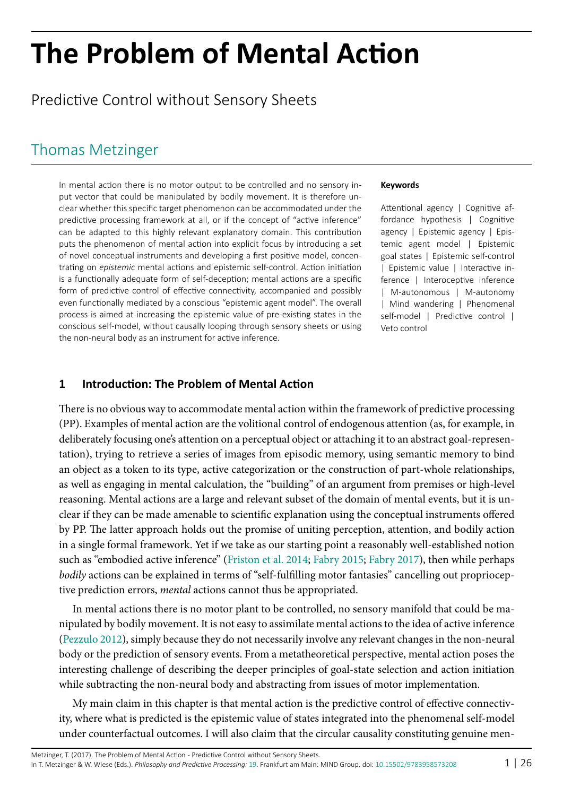# **The Problem of Mental Action**

Predictive Control without Sensory Sheets

## [Thomas Metzinger](http://predictive-mind.net/ppp-contributors/Thomas_K_Metzinger)

In mental action there is no motor output to be controlled and no sensory input vector that could be manipulated by bodily movement. It is therefore unclear whether this specific target phenomenon can be accommodated under the predictive processing framework at all, or if the concept of "active inference" can be adapted to this highly relevant explanatory domain. This contribution puts the phenomenon of mental action into explicit focus by introducing a set of novel conceptual instruments and developing a first positive model, concentrating on *epistemic* mental actions and epistemic self-control. Action initiation is a functionally adequate form of self-deception; mental actions are a specific form of predictive control of effective connectivity, accompanied and possibly even functionally mediated by a conscious "epistemic agent model". The overall process is aimed at increasing the epistemic value of pre-existing states in the conscious self-model, without causally looping through sensory sheets or using the non-neural body as an instrument for active inference.

#### **Keywords**

Attentional agency | Cognitive affordance hypothesis | Cognitive agency | Epistemic agency | Epistemic agent model | Epistemic goal states | Epistemic self-control | Epistemic value | Interactive inference | Interoceptive inference | M-autonomous | M-autonomy | Mind wandering | Phenomenal self-model | Predictive control | Veto control

#### **1 Introduction: The Problem of Mental Action**

There is no obvious way to accommodate mental action within the framework of predictive processing (PP). Examples of mental action are the volitional control of endogenous attention (as, for example, in deliberately focusing one's attention on a perceptual object or attaching it to an abstract goal-representation), trying to retrieve a series of images from episodic memory, using semantic memory to bind an object as a token to its type, active categorization or the construction of part-whole relationships, as well as engaging in mental calculation, the "building" of an argument from premises or high-level reasoning. Mental actions are a large and relevant subset of the domain of mental events, but it is unclear if they can be made amenable to scientific explanation using the conceptual instruments offered by PP. The latter approach holds out the promise of uniting perception, attention, and bodily action in a single formal framework. Yet if we take as our starting point a reasonably well-established notion such as "embodied active inference" [\(Friston et al. 2014;](#page-23-0) [Fabry 2015;](#page-23-1) [Fabry 2017](#page-23-2)), then while perhaps *bodily* actions can be explained in terms of "self-fulfilling motor fantasies" cancelling out proprioceptive prediction errors, *mental* actions cannot thus be appropriated.

In mental actions there is no motor plant to be controlled, no sensory manifold that could be manipulated by bodily movement. It is not easy to assimilate mental actions to the idea of active inference ([Pezzulo 2012](#page-24-0)), simply because they do not necessarily involve any relevant changes in the non-neural body or the prediction of sensory events. From a metatheoretical perspective, mental action poses the interesting challenge of describing the deeper principles of goal-state selection and action initiation while subtracting the non-neural body and abstracting from issues of motor implementation.

My main claim in this chapter is that mental action is the predictive control of effective connectivity, where what is predicted is the epistemic value of states integrated into the phenomenal self-model under counterfactual outcomes. I will also claim that the circular causality constituting genuine men-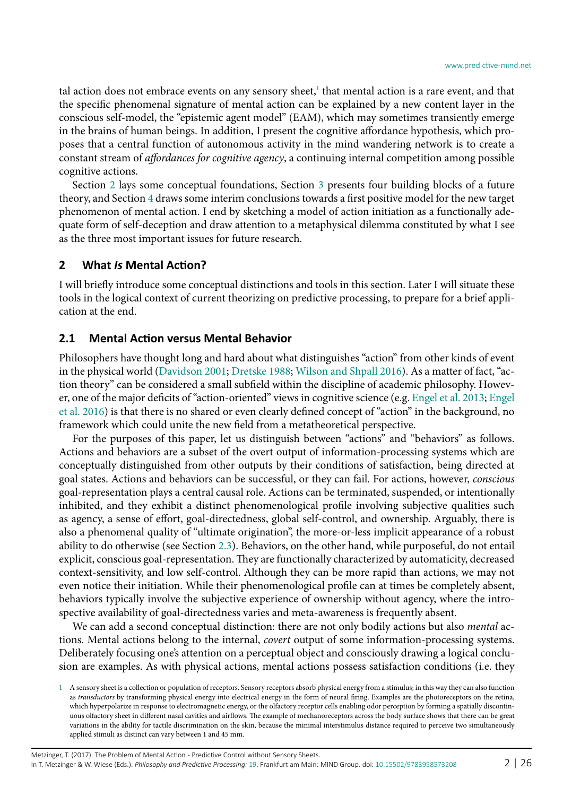tal action does not embrace events on any sensory sheet,<sup>1</sup> that mental action is a rare event, and that the specific phenomenal signature of mental action can be explained by a new content layer in the conscious self-model, the "epistemic agent model" (EAM), which may sometimes transiently emerge in the brains of human beings. In addition, I present the cognitive affordance hypothesis, which proposes that a central function of autonomous activity in the mind wandering network is to create a constant stream of *affordances for cognitive agency*, a continuing internal competition among possible cognitive actions.

Section [2](#page-1-1) lays some conceptual foundations, Section [3](#page-8-0) presents four building blocks of a future theory, and Section [4](#page-16-0) draws some interim conclusions towards a first positive model for the new target phenomenon of mental action. I end by sketching a model of action initiation as a functionally adequate form of self-deception and draw attention to a metaphysical dilemma constituted by what I see as the three most important issues for future research.

#### <span id="page-1-1"></span>**2 What** *Is* **Mental Action?**

I will briefly introduce some conceptual distinctions and tools in this section. Later I will situate these tools in the logical context of current theorizing on predictive processing, to prepare for a brief application at the end.

#### **2.1 Mental Action versus Mental Behavior**

Philosophers have thought long and hard about what distinguishes "action" from other kinds of event in the physical world ([Davidson 2001;](#page-23-3) [Dretske 1988](#page-23-4); [Wilson and Shpall 2016\)](#page-25-0). As a matter of fact, "action theory" can be considered a small subfield within the discipline of academic philosophy. However, one of the major deficits of "action-oriented" views in cognitive science (e.g. [Engel et al. 2013](#page-23-5); [Engel](#page-23-6) [et al. 2016](#page-23-6)) is that there is no shared or even clearly defined concept of "action" in the background, no framework which could unite the new field from a metatheoretical perspective.

For the purposes of this paper, let us distinguish between "actions" and "behaviors" as follows. Actions and behaviors are a subset of the overt output of information-processing systems which are conceptually distinguished from other outputs by their conditions of satisfaction, being directed at goal states. Actions and behaviors can be successful, or they can fail. For actions, however, *conscious*  goal-representation plays a central causal role. Actions can be terminated, suspended, or intentionally inhibited, and they exhibit a distinct phenomenological profile involving subjective qualities such as agency, a sense of effort, goal-directedness, global self-control, and ownership. Arguably, there is also a phenomenal quality of "ultimate origination", the more-or-less implicit appearance of a robust ability to do otherwise (see Section [2.3](#page-5-0)). Behaviors, on the other hand, while purposeful, do not entail explicit, conscious goal-representation. They are functionally characterized by automaticity, decreased context-sensitivity, and low self-control. Although they can be more rapid than actions, we may not even notice their initiation. While their phenomenological profile can at times be completely absent, behaviors typically involve the subjective experience of ownership without agency, where the introspective availability of goal-directedness varies and meta-awareness is frequently absent.

We can add a second conceptual distinction: there are not only bodily actions but also *mental* actions. Mental actions belong to the internal, *covert* output of some information-processing systems. Deliberately focusing one's attention on a perceptual object and consciously drawing a logical conclusion are examples. As with physical actions, mental actions possess satisfaction conditions (i.e. they

<span id="page-1-0"></span><sup>1</sup> A sensory sheet is a collection or population of receptors. Sensory receptors absorb physical energy from a stimulus; in this way they can also function as *transductors* by transforming physical energy into electrical energy in the form of neural firing. Examples are the photoreceptors on the retina, which hyperpolarize in response to electromagnetic energy, or the olfactory receptor cells enabling odor perception by forming a spatially discontinuous olfactory sheet in different nasal cavities and airflows. The example of mechanoreceptors across the body surface shows that there can be great variations in the ability for tactile discrimination on the skin, because the minimal interstimulus distance required to perceive two simultaneously applied stimuli as distinct can vary between 1 and 45 mm.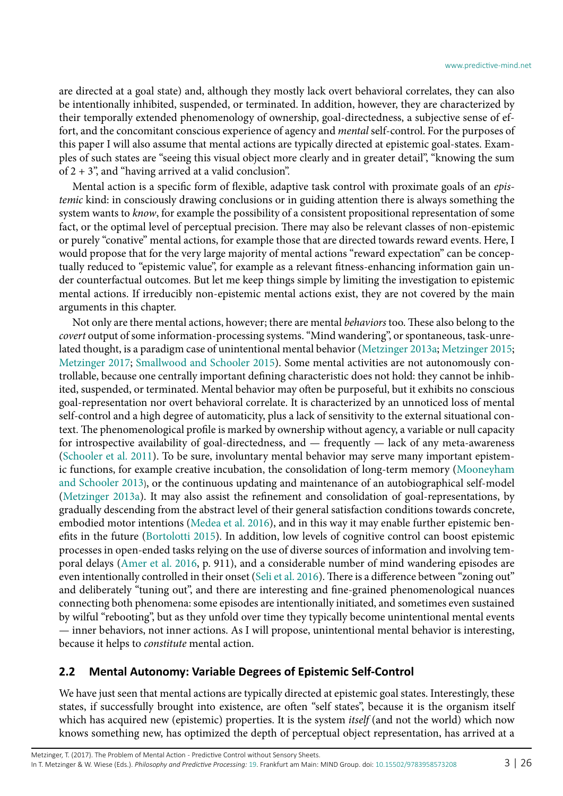are directed at a goal state) and, although they mostly lack overt behavioral correlates, they can also be intentionally inhibited, suspended, or terminated. In addition, however, they are characterized by their temporally extended phenomenology of ownership, goal-directedness, a subjective sense of effort, and the concomitant conscious experience of agency and *mental* self-control. For the purposes of this paper I will also assume that mental actions are typically directed at epistemic goal-states. Examples of such states are "seeing this visual object more clearly and in greater detail", "knowing the sum of  $2 + 3$ ", and "having arrived at a valid conclusion".

Mental action is a specific form of flexible, adaptive task control with proximate goals of an *epistemic* kind: in consciously drawing conclusions or in guiding attention there is always something the system wants to *know*, for example the possibility of a consistent propositional representation of some fact, or the optimal level of perceptual precision. There may also be relevant classes of non-epistemic or purely "conative" mental actions, for example those that are directed towards reward events. Here, I would propose that for the very large majority of mental actions "reward expectation" can be conceptually reduced to "epistemic value", for example as a relevant fitness-enhancing information gain under counterfactual outcomes. But let me keep things simple by limiting the investigation to epistemic mental actions. If irreducibly non-epistemic mental actions exist, they are not covered by the main arguments in this chapter.

Not only are there mental actions, however; there are mental *behaviors* too. These also belong to the *covert* output of some information-processing systems. "Mind wandering", or spontaneous, task-unrelated thought, is a paradigm case of unintentional mental behavior ([Metzinger 2013a](#page-24-1); [Metzinger 2015;](#page-24-2) [Metzinger 2017;](#page-24-3) [Smallwood and Schooler 2015\)](#page-25-1). Some mental activities are not autonomously controllable, because one centrally important defining characteristic does not hold: they cannot be inhibited, suspended, or terminated. Mental behavior may often be purposeful, but it exhibits no conscious goal-representation nor overt behavioral correlate. It is characterized by an unnoticed loss of mental self-control and a high degree of automaticity, plus a lack of sensitivity to the external situational context. The phenomenological profile is marked by ownership without agency, a variable or null capacity for introspective availability of goal-directedness, and — frequently — lack of any meta-awareness ([Schooler et al. 2011](#page-25-2)). To be sure, involuntary mental behavior may serve many important epistemic functions, for example creative incubation, the consolidation of long-term memory ([Mooneyham](#page-24-4) [and Schooler 2013](#page-24-4)), or the continuous updating and maintenance of an autobiographical self-model ([Metzinger 2013a\)](#page-24-1). It may also assist the refinement and consolidation of goal-representations, by gradually descending from the abstract level of their general satisfaction conditions towards concrete, embodied motor intentions [\(Medea et al. 2016\)](#page-24-5), and in this way it may enable further epistemic benefits in the future [\(Bortolotti 2015\)](#page-22-0). In addition, low levels of cognitive control can boost epistemic processes in open-ended tasks relying on the use of diverse sources of information and involving temporal delays ([Amer et al. 2016](#page-22-1), p. 911), and a considerable number of mind wandering episodes are even intentionally controlled in their onset [\(Seli et al. 2016\)](#page-25-3). There is a difference between "zoning out" and deliberately "tuning out", and there are interesting and fine-grained phenomenological nuances connecting both phenomena: some episodes are intentionally initiated, and sometimes even sustained by wilful "rebooting", but as they unfold over time they typically become unintentional mental events — inner behaviors, not inner actions. As I will propose, unintentional mental behavior is interesting, because it helps to *constitute* mental action.

#### <span id="page-2-0"></span>**2.2 Mental Autonomy: Variable Degrees of Epistemic Self-Control**

We have just seen that mental actions are typically directed at epistemic goal states. Interestingly, these states, if successfully brought into existence, are often "self states", because it is the organism itself which has acquired new (epistemic) properties. It is the system *itself* (and not the world) which now knows something new, has optimized the depth of perceptual object representation, has arrived at a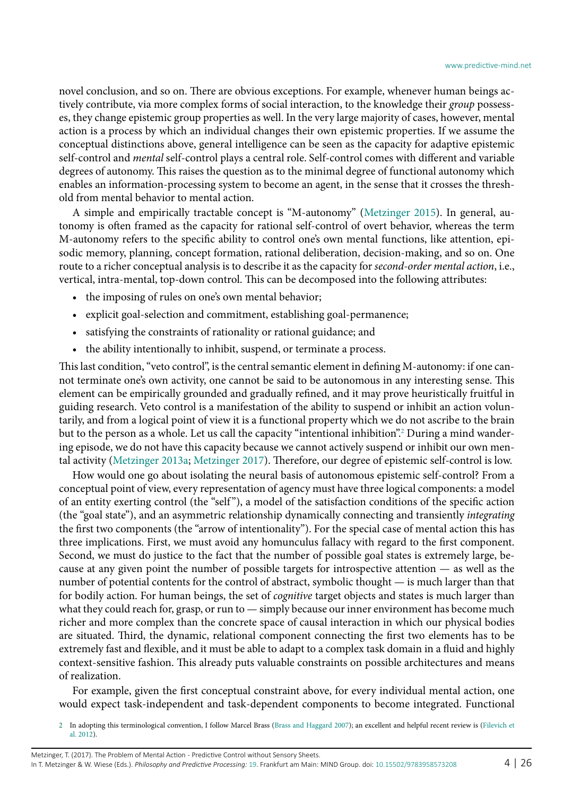novel conclusion, and so on. There are obvious exceptions. For example, whenever human beings actively contribute, via more complex forms of social interaction, to the knowledge their *group* possesses, they change epistemic group properties as well. In the very large majority of cases, however, mental action is a process by which an individual changes their own epistemic properties. If we assume the conceptual distinctions above, general intelligence can be seen as the capacity for adaptive epistemic self-control and *mental* self-control plays a central role. Self-control comes with different and variable degrees of autonomy. This raises the question as to the minimal degree of functional autonomy which enables an information-processing system to become an agent, in the sense that it crosses the threshold from mental behavior to mental action.

A simple and empirically tractable concept is "M-autonomy" ([Metzinger 2015](#page-24-2)). In general, autonomy is often framed as the capacity for rational self-control of overt behavior, whereas the term M-autonomy refers to the specific ability to control one's own mental functions, like attention, episodic memory, planning, concept formation, rational deliberation, decision-making, and so on. One route to a richer conceptual analysis is to describe it as the capacity for *second-order mental action*, i.e., vertical, intra-mental, top-down control. This can be decomposed into the following attributes:

- the imposing of rules on one's own mental behavior;
- explicit goal-selection and commitment, establishing goal-permanence;
- satisfying the constraints of rationality or rational guidance; and
- the ability intentionally to inhibit, suspend, or terminate a process.

This last condition, "veto control", is the central semantic element in defining M-autonomy: if one cannot terminate one's own activity, one cannot be said to be autonomous in any interesting sense. This element can be empirically grounded and gradually refined, and it may prove heuristically fruitful in guiding research. Veto control is a manifestation of the ability to suspend or inhibit an action voluntarily, and from a logical point of view it is a functional property which we do not ascribe to the brain but to the person as a whole. Let us call the capacity "intentional inhibition".<sup>2</sup> During a mind wandering episode, we do not have this capacity because we cannot actively suspend or inhibit our own mental activity [\(Metzinger 2013a](#page-24-1); [Metzinger 2017](#page-24-3)). Therefore, our degree of epistemic self-control is low.

How would one go about isolating the neural basis of autonomous epistemic self-control? From a conceptual point of view, every representation of agency must have three logical components: a model of an entity exerting control (the "self "), a model of the satisfaction conditions of the specific action (the "goal state"), and an asymmetric relationship dynamically connecting and transiently *integrating*  the first two components (the "arrow of intentionality"). For the special case of mental action this has three implications. First, we must avoid any homunculus fallacy with regard to the first component. Second, we must do justice to the fact that the number of possible goal states is extremely large, because at any given point the number of possible targets for introspective attention — as well as the number of potential contents for the control of abstract, symbolic thought — is much larger than that for bodily action. For human beings, the set of *cognitive* target objects and states is much larger than what they could reach for, grasp, or run to — simply because our inner environment has become much richer and more complex than the concrete space of causal interaction in which our physical bodies are situated. Third, the dynamic, relational component connecting the first two elements has to be extremely fast and flexible, and it must be able to adapt to a complex task domain in a fluid and highly context-sensitive fashion. This already puts valuable constraints on possible architectures and means of realization.

For example, given the first conceptual constraint above, for every individual mental action, one would expect task-independent and task-dependent components to become integrated. Functional

<span id="page-3-0"></span><sup>2</sup> In adopting this terminological convention, I follow Marcel Brass [\(Brass and Haggard 2007\)](#page-22-2); an excellent and helpful recent review is ([Filevich et](#page-23-7) [al. 2012](#page-23-7)).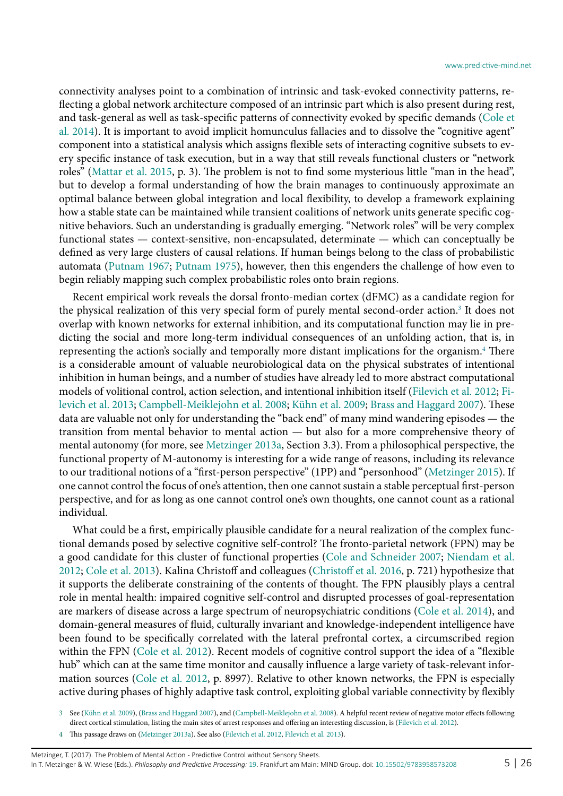connectivity analyses point to a combination of intrinsic and task-evoked connectivity patterns, reflecting a global network architecture composed of an intrinsic part which is also present during rest, and task-general as well as task-specific patterns of connectivity evoked by specific demands [\(Cole et](#page-23-8) [al. 2014\)](#page-23-8). It is important to avoid implicit homunculus fallacies and to dissolve the "cognitive agent" component into a statistical analysis which assigns flexible sets of interacting cognitive subsets to every specific instance of task execution, but in a way that still reveals functional clusters or "network roles" ([Mattar et al. 2015,](#page-24-6) p. 3). The problem is not to find some mysterious little "man in the head", but to develop a formal understanding of how the brain manages to continuously approximate an optimal balance between global integration and local flexibility, to develop a framework explaining how a stable state can be maintained while transient coalitions of network units generate specific cognitive behaviors. Such an understanding is gradually emerging. "Network roles" will be very complex functional states — context-sensitive, non-encapsulated, determinate — which can conceptually be defined as very large clusters of causal relations. If human beings belong to the class of probabilistic automata ([Putnam 1967](#page-25-4); [Putnam 1975](#page-25-5)), however, then this engenders the challenge of how even to begin reliably mapping such complex probabilistic roles onto brain regions.

Recent empirical work reveals the dorsal fronto-median cortex (dFMC) as a candidate region for the physical realization of this very special form of purely mental second-order action.<sup>[3](#page-4-0)</sup> It does not overlap with known networks for external inhibition, and its computational function may lie in predicting the social and more long-term individual consequences of an unfolding action, that is, in representing the action's socially and temporally more distant implications for the organism[.4](#page-4-1) There is a considerable amount of valuable neurobiological data on the physical substrates of intentional inhibition in human beings, and a number of studies have already led to more abstract computational models of volitional control, action selection, and intentional inhibition itself [\(Filevich et al. 2012;](#page-23-7) [Fi](#page-23-9)[levich et al. 2013;](#page-23-9) [Campbell-Meiklejohn et al. 2008](#page-22-3); [Kühn et al. 2009](#page-23-10); [Brass and Haggard 2007](#page-22-2)). These data are valuable not only for understanding the "back end" of many mind wandering episodes — the transition from mental behavior to mental action — but also for a more comprehensive theory of mental autonomy (for more, see [Metzinger 2013a,](#page-24-1) Section 3.3). From a philosophical perspective, the functional property of M-autonomy is interesting for a wide range of reasons, including its relevance to our traditional notions of a "first-person perspective" (1PP) and "personhood" [\(Metzinger 2015](#page-24-2)). If one cannot control the focus of one's attention, then one cannot sustain a stable perceptual first-person perspective, and for as long as one cannot control one's own thoughts, one cannot count as a rational individual.

What could be a first, empirically plausible candidate for a neural realization of the complex functional demands posed by selective cognitive self-control? The fronto-parietal network (FPN) may be a good candidate for this cluster of functional properties ([Cole and Schneider 2007;](#page-23-11) [Niendam et al.](#page-24-7) [2012](#page-24-7); [Cole et al. 2013](#page-23-12)). Kalina Christoff and colleagues ([Christoff et al. 2016,](#page-22-4) p. 721) hypothesize that it supports the deliberate constraining of the contents of thought. The FPN plausibly plays a central role in mental health: impaired cognitive self-control and disrupted processes of goal-representation are markers of disease across a large spectrum of neuropsychiatric conditions ([Cole et al. 2014](#page-23-8)), and domain-general measures of fluid, culturally invariant and knowledge-independent intelligence have been found to be specifically correlated with the lateral prefrontal cortex, a circumscribed region within the FPN ([Cole et al. 2012\)](#page-23-13). Recent models of cognitive control support the idea of a "flexible hub" which can at the same time monitor and causally influence a large variety of task-relevant information sources ([Cole et al. 2012](#page-23-13), p. 8997). Relative to other known networks, the FPN is especially active during phases of highly adaptive task control, exploiting global variable connectivity by flexibly

<span id="page-4-1"></span>4 This passage draws on ([Metzinger 2013a](#page-24-1)). See also [\(Filevich et al. 2012,](#page-23-7) [Filevich et al. 2013\)](#page-23-9).

<span id="page-4-0"></span><sup>3</sup> See ([Kühn et al. 2009](#page-23-10)), [\(Brass and Haggard 2007](#page-22-2)), and ([Campbell-Meiklejohn et al. 2008](#page-22-3)). A helpful recent review of negative motor effects following direct cortical stimulation, listing the main sites of arrest responses and offering an interesting discussion, is [\(Filevich et al. 2012](#page-23-7)).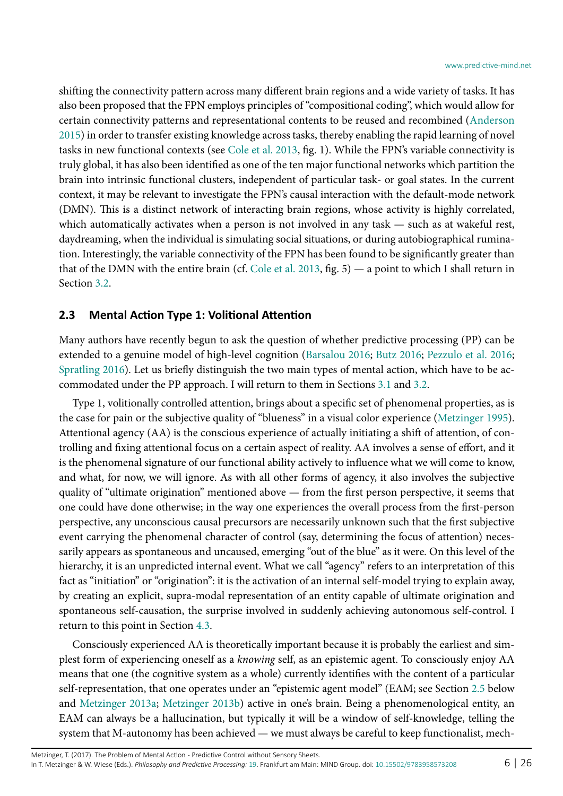shifting the connectivity pattern across many different brain regions and a wide variety of tasks. It has also been proposed that the FPN employs principles of "compositional coding", which would allow for certain connectivity patterns and representational contents to be reused and recombined ([Anderson](#page-22-5) [2015](#page-22-5)) in order to transfer existing knowledge across tasks, thereby enabling the rapid learning of novel tasks in new functional contexts (see [Cole et al. 2013,](#page-23-12) fig. 1). While the FPN's variable connectivity is truly global, it has also been identified as one of the ten major functional networks which partition the brain into intrinsic functional clusters, independent of particular task- or goal states. In the current context, it may be relevant to investigate the FPN's causal interaction with the default-mode network (DMN). This is a distinct network of interacting brain regions, whose activity is highly correlated, which automatically activates when a person is not involved in any task — such as at wakeful rest, daydreaming, when the individual is simulating social situations, or during autobiographical rumination. Interestingly, the variable connectivity of the FPN has been found to be significantly greater than that of the DMN with the entire brain (cf. [Cole et al. 2013](#page-23-12), fig. 5) — a point to which I shall return in Section [3.2.](#page-10-0)

#### <span id="page-5-0"></span>**2.3 Mental Action Type 1: Volitional Attention**

Many authors have recently begun to ask the question of whether predictive processing (PP) can be extended to a genuine model of high-level cognition [\(Barsalou 2016](#page-22-6); [Butz 2016;](#page-22-7) [Pezzulo et al. 2016;](#page-24-8) [Spratling 2016\)](#page-25-6). Let us briefly distinguish the two main types of mental action, which have to be accommodated under the PP approach. I will return to them in Sections [3.1](#page-8-1) and [3.2.](#page-10-0)

Type 1, volitionally controlled attention, brings about a specific set of phenomenal properties, as is the case for pain or the subjective quality of "blueness" in a visual color experience ([Metzinger 1995](#page-24-9)). Attentional agency (AA) is the conscious experience of actually initiating a shift of attention, of controlling and fixing attentional focus on a certain aspect of reality. AA involves a sense of effort, and it is the phenomenal signature of our functional ability actively to influence what we will come to know, and what, for now, we will ignore. As with all other forms of agency, it also involves the subjective quality of "ultimate origination" mentioned above — from the first person perspective, it seems that one could have done otherwise; in the way one experiences the overall process from the first-person perspective, any unconscious causal precursors are necessarily unknown such that the first subjective event carrying the phenomenal character of control (say, determining the focus of attention) necessarily appears as spontaneous and uncaused, emerging "out of the blue" as it were. On this level of the hierarchy, it is an unpredicted internal event. What we call "agency" refers to an interpretation of this fact as "initiation" or "origination": it is the activation of an internal self-model trying to explain away, by creating an explicit, supra-modal representation of an entity capable of ultimate origination and spontaneous self-causation, the surprise involved in suddenly achieving autonomous self-control. I return to this point in Section [4.3.](#page-19-0)

Consciously experienced AA is theoretically important because it is probably the earliest and simplest form of experiencing oneself as a *knowing* self, as an epistemic agent. To consciously enjoy AA means that one (the cognitive system as a whole) currently identifies with the content of a particular self-representation, that one operates under an "epistemic agent model" (EAM; see Section [2.5](#page-6-0) below and [Metzinger 2013a](#page-24-1); [Metzinger 2013b\)](#page-24-10) active in one's brain. Being a phenomenological entity, an EAM can always be a hallucination, but typically it will be a window of self-knowledge, telling the system that M-autonomy has been achieved — we must always be careful to keep functionalist, mech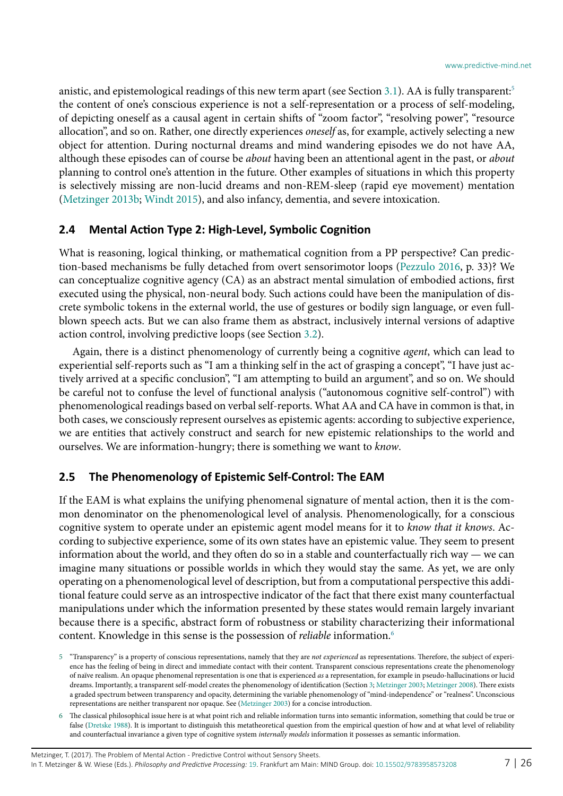anistic, and epistemological readings of this new term apart (see Section [3.1\)](#page-8-1). AA is fully transparent:<sup>[5](#page-6-1)</sup> the content of one's conscious experience is not a self-representation or a process of self-modeling, of depicting oneself as a causal agent in certain shifts of "zoom factor", "resolving power", "resource allocation", and so on. Rather, one directly experiences *oneself* as, for example, actively selecting a new object for attention. During nocturnal dreams and mind wandering episodes we do not have AA, although these episodes can of course be *about* having been an attentional agent in the past, or *about*  planning to control one's attention in the future. Other examples of situations in which this property is selectively missing are non-lucid dreams and non-REM-sleep (rapid eye movement) mentation ([Metzinger 2013b](#page-24-10); [Windt 2015](#page-25-7)), and also infancy, dementia, and severe intoxication.

#### **2.4 Mental Action Type 2: High-Level, Symbolic Cognition**

What is reasoning, logical thinking, or mathematical cognition from a PP perspective? Can prediction-based mechanisms be fully detached from overt sensorimotor loops [\(Pezzulo 2016,](#page-24-11) p. 33)? We can conceptualize cognitive agency (CA) as an abstract mental simulation of embodied actions, first executed using the physical, non-neural body. Such actions could have been the manipulation of discrete symbolic tokens in the external world, the use of gestures or bodily sign language, or even fullblown speech acts. But we can also frame them as abstract, inclusively internal versions of adaptive action control, involving predictive loops (see Section [3.2\)](#page-10-0).

Again, there is a distinct phenomenology of currently being a cognitive *agent*, which can lead to experiential self-reports such as "I am a thinking self in the act of grasping a concept", "I have just actively arrived at a specific conclusion", "I am attempting to build an argument", and so on. We should be careful not to confuse the level of functional analysis ("autonomous cognitive self-control") with phenomenological readings based on verbal self-reports. What AA and CA have in common is that, in both cases, we consciously represent ourselves as epistemic agents: according to subjective experience, we are entities that actively construct and search for new epistemic relationships to the world and ourselves. We are information-hungry; there is something we want to *know*.

#### <span id="page-6-0"></span>**2.5 The Phenomenology of Epistemic Self-Control: The EAM**

If the EAM is what explains the unifying phenomenal signature of mental action, then it is the common denominator on the phenomenological level of analysis. Phenomenologically, for a conscious cognitive system to operate under an epistemic agent model means for it to *know that it knows*. According to subjective experience, some of its own states have an epistemic value. They seem to present information about the world, and they often do so in a stable and counterfactually rich way — we can imagine many situations or possible worlds in which they would stay the same. As yet, we are only operating on a phenomenological level of description, but from a computational perspective this additional feature could serve as an introspective indicator of the fact that there exist many counterfactual manipulations under which the information presented by these states would remain largely invariant because there is a specific, abstract form of robustness or stability characterizing their informational content. Knowledge in this sense is the possession of *reliable* information[.6](#page-6-2)

<span id="page-6-1"></span><sup>5</sup> "Transparency" is a property of conscious representations, namely that they are *not experienced* as representations. Therefore, the subject of experience has the feeling of being in direct and immediate contact with their content. Transparent conscious representations create the phenomenology of naïve realism. An opaque phenomenal representation is one that is experienced *as* a representation, for example in pseudo-hallucinations or lucid dreams. Importantly, a transparent self-model creates the phenomenology of identification (Section [3](#page-8-0); [Metzinger 2003](#page-24-12); [Metzinger 2008\)](#page-24-13). There exists a graded spectrum between transparency and opacity, determining the variable phenomenology of "mind-independence" or "realness". Unconscious representations are neither transparent nor opaque. See ([Metzinger 2003](#page-24-12)) for a concise introduction.

<span id="page-6-2"></span><sup>6</sup> The classical philosophical issue here is at what point rich and reliable information turns into semantic information, something that could be true or false ([Dretske 1988](#page-23-4)). It is important to distinguish this metatheoretical question from the empirical question of how and at what level of reliability and counterfactual invariance a given type of cognitive system *internally models* information it possesses as semantic information.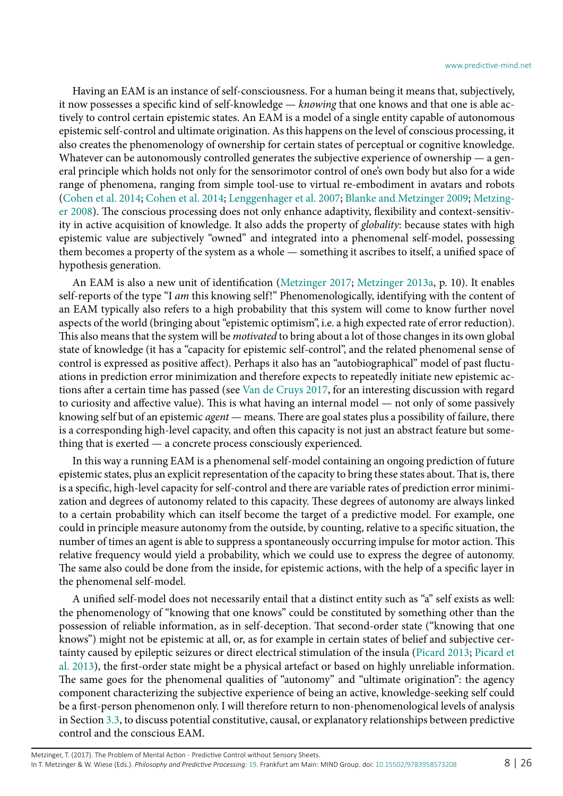Having an EAM is an instance of self-consciousness. For a human being it means that, subjectively, it now possesses a specific kind of self-knowledge — *knowing* that one knows and that one is able actively to control certain epistemic states. An EAM is a model of a single entity capable of autonomous epistemic self-control and ultimate origination. As this happens on the level of conscious processing, it also creates the phenomenology of ownership for certain states of perceptual or cognitive knowledge. Whatever can be autonomously controlled generates the subjective experience of ownership — a general principle which holds not only for the sensorimotor control of one's own body but also for a wide range of phenomena, ranging from simple tool-use to virtual re-embodiment in avatars and robots ([Cohen et al. 2014;](#page-22-8) [Cohen et al. 2014;](#page-23-14) [Lenggenhager et al. 2007;](#page-24-14) [Blanke and Metzinger 2009](#page-22-9); [Metzing](#page-24-13)[er 2008\)](#page-24-13). The conscious processing does not only enhance adaptivity, flexibility and context-sensitivity in active acquisition of knowledge. It also adds the property of *globality*: because states with high epistemic value are subjectively "owned" and integrated into a phenomenal self-model, possessing them becomes a property of the system as a whole — something it ascribes to itself, a unified space of hypothesis generation.

An EAM is also a new unit of identification [\(Metzinger 2017;](#page-24-3) [Metzinger 2013a](#page-24-1), p. 10). It enables self-reports of the type "I *am* this knowing self!" Phenomenologically, identifying with the content of an EAM typically also refers to a high probability that this system will come to know further novel aspects of the world (bringing about "epistemic optimism", i.e. a high expected rate of error reduction). This also means that the system will be *motivated* to bring about a lot of those changes in its own global state of knowledge (it has a "capacity for epistemic self-control", and the related phenomenal sense of control is expressed as positive affect). Perhaps it also has an "autobiographical" model of past fluctuations in prediction error minimization and therefore expects to repeatedly initiate new epistemic actions after a certain time has passed (see [Van de Cruys 2017,](#page-25-8) for an interesting discussion with regard to curiosity and affective value). This is what having an internal model — not only of some passively knowing self but of an epistemic *agent* — means. There are goal states plus a possibility of failure, there is a corresponding high-level capacity, and often this capacity is not just an abstract feature but something that is exerted — a concrete process consciously experienced.

In this way a running EAM is a phenomenal self-model containing an ongoing prediction of future epistemic states, plus an explicit representation of the capacity to bring these states about. That is, there is a specific, high-level capacity for self-control and there are variable rates of prediction error minimization and degrees of autonomy related to this capacity. These degrees of autonomy are always linked to a certain probability which can itself become the target of a predictive model. For example, one could in principle measure autonomy from the outside, by counting, relative to a specific situation, the number of times an agent is able to suppress a spontaneously occurring impulse for motor action. This relative frequency would yield a probability, which we could use to express the degree of autonomy. The same also could be done from the inside, for epistemic actions, with the help of a specific layer in the phenomenal self-model.

A unified self-model does not necessarily entail that a distinct entity such as "a" self exists as well: the phenomenology of "knowing that one knows" could be constituted by something other than the possession of reliable information, as in self-deception. That second-order state ("knowing that one knows") might not be epistemic at all, or, as for example in certain states of belief and subjective certainty caused by epileptic seizures or direct electrical stimulation of the insula ([Picard 2013](#page-24-15); [Picard et](#page-24-16) [al. 2013](#page-24-16)), the first-order state might be a physical artefact or based on highly unreliable information. The same goes for the phenomenal qualities of "autonomy" and "ultimate origination": the agency component characterizing the subjective experience of being an active, knowledge-seeking self could be a first-person phenomenon only. I will therefore return to non-phenomenological levels of analysis in Section [3.3](#page-12-0), to discuss potential constitutive, causal, or explanatory relationships between predictive control and the conscious EAM.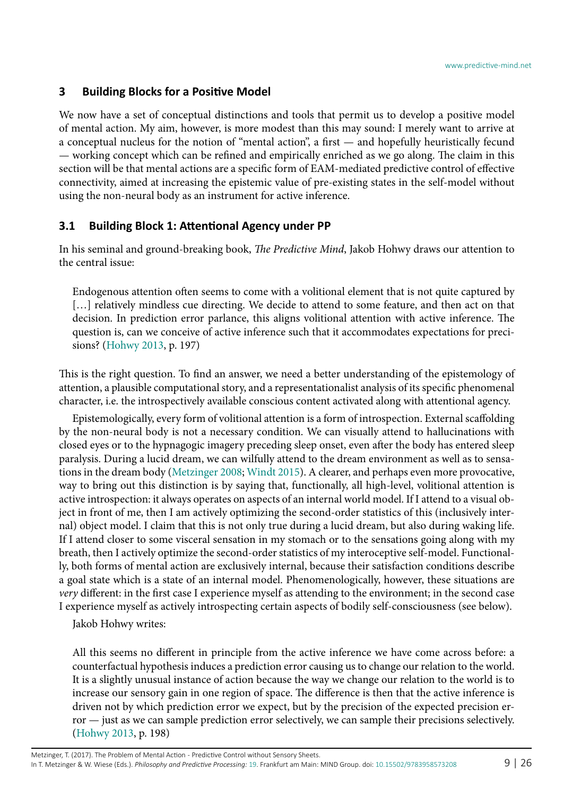#### <span id="page-8-0"></span>**3 Building Blocks for a Positive Model**

We now have a set of conceptual distinctions and tools that permit us to develop a positive model of mental action. My aim, however, is more modest than this may sound: I merely want to arrive at a conceptual nucleus for the notion of "mental action", a first — and hopefully heuristically fecund — working concept which can be refined and empirically enriched as we go along. The claim in this section will be that mental actions are a specific form of EAM-mediated predictive control of effective connectivity, aimed at increasing the epistemic value of pre-existing states in the self-model without using the non-neural body as an instrument for active inference.

#### <span id="page-8-1"></span>**3.1 Building Block 1: Attentional Agency under PP**

In his seminal and ground-breaking book, *The Predictive Mind*, Jakob Hohwy draws our attention to the central issue:

Endogenous attention often seems to come with a volitional element that is not quite captured by [...] relatively mindless cue directing. We decide to attend to some feature, and then act on that decision. In prediction error parlance, this aligns volitional attention with active inference. The question is, can we conceive of active inference such that it accommodates expectations for precisions? [\(Hohwy 2013](#page-23-15), p. 197)

This is the right question. To find an answer, we need a better understanding of the epistemology of attention, a plausible computational story, and a representationalist analysis of its specific phenomenal character, i.e. the introspectively available conscious content activated along with attentional agency.

Epistemologically, every form of volitional attention is a form of introspection. External scaffolding by the non-neural body is not a necessary condition. We can visually attend to hallucinations with closed eyes or to the hypnagogic imagery preceding sleep onset, even after the body has entered sleep paralysis. During a lucid dream, we can wilfully attend to the dream environment as well as to sensations in the dream body ([Metzinger 2008;](#page-24-13) [Windt 2015](#page-25-7)). A clearer, and perhaps even more provocative, way to bring out this distinction is by saying that, functionally, all high-level, volitional attention is active introspection: it always operates on aspects of an internal world model. If I attend to a visual object in front of me, then I am actively optimizing the second-order statistics of this (inclusively internal) object model. I claim that this is not only true during a lucid dream, but also during waking life. If I attend closer to some visceral sensation in my stomach or to the sensations going along with my breath, then I actively optimize the second-order statistics of my interoceptive self-model. Functionally, both forms of mental action are exclusively internal, because their satisfaction conditions describe a goal state which is a state of an internal model. Phenomenologically, however, these situations are *very* different: in the first case I experience myself as attending to the environment; in the second case I experience myself as actively introspecting certain aspects of bodily self-consciousness (see below).

Jakob Hohwy writes:

All this seems no different in principle from the active inference we have come across before: a counterfactual hypothesis induces a prediction error causing us to change our relation to the world. It is a slightly unusual instance of action because the way we change our relation to the world is to increase our sensory gain in one region of space. The difference is then that the active inference is driven not by which prediction error we expect, but by the precision of the expected precision error — just as we can sample prediction error selectively, we can sample their precisions selectively. ([Hohwy 2013](#page-23-15), p. 198)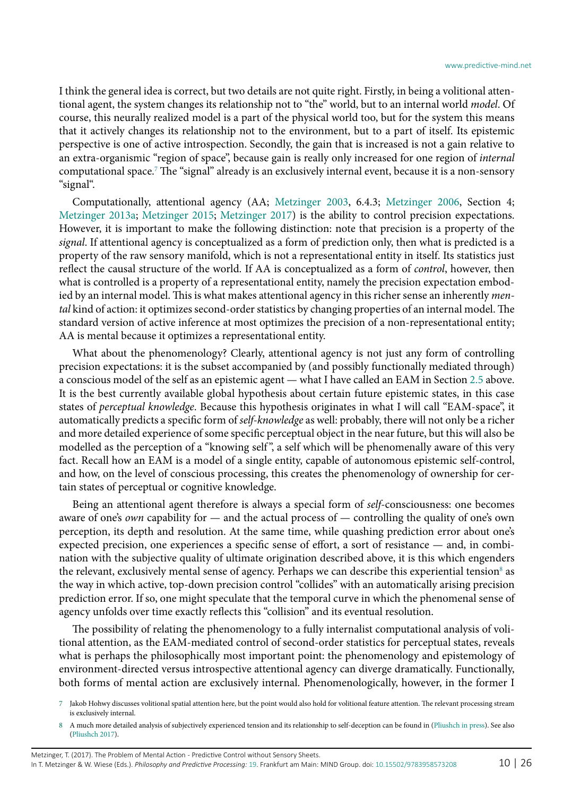I think the general idea is correct, but two details are not quite right. Firstly, in being a volitional attentional agent, the system changes its relationship not to "the" world, but to an internal world *model*. Of course, this neurally realized model is a part of the physical world too, but for the system this means that it actively changes its relationship not to the environment, but to a part of itself. Its epistemic perspective is one of active introspection. Secondly, the gain that is increased is not a gain relative to an extra-organismic "region of space", because gain is really only increased for one region of *internal* computational space[.7](#page-9-0) The "signal" already is an exclusively internal event, because it is a non-sensory "signal".

Computationally, attentional agency (AA; [Metzinger 2003](#page-24-12), 6.4.3; [Metzinger 2006,](#page-24-17) Section 4; [Metzinger 2013a;](#page-24-1) [Metzinger 2015](#page-24-2); [Metzinger 2017\)](#page-24-3) is the ability to control precision expectations. However, it is important to make the following distinction: note that precision is a property of the *signal*. If attentional agency is conceptualized as a form of prediction only, then what is predicted is a property of the raw sensory manifold, which is not a representational entity in itself. Its statistics just reflect the causal structure of the world. If AA is conceptualized as a form of *control*, however, then what is controlled is a property of a representational entity, namely the precision expectation embodied by an internal model. This is what makes attentional agency in this richer sense an inherently *mental* kind of action: it optimizes second-order statistics by changing properties of an internal model. The standard version of active inference at most optimizes the precision of a non-representational entity; AA is mental because it optimizes a representational entity.

What about the phenomenology? Clearly, attentional agency is not just any form of controlling precision expectations: it is the subset accompanied by (and possibly functionally mediated through) a conscious model of the self as an epistemic agent — what I have called an EAM in Section [2.5](#page-6-0) above. It is the best currently available global hypothesis about certain future epistemic states, in this case states of *perceptual knowledge*. Because this hypothesis originates in what I will call "EAM-space", it automatically predicts a specific form of *self-knowledge* as well: probably, there will not only be a richer and more detailed experience of some specific perceptual object in the near future, but this will also be modelled as the perception of a "knowing self", a self which will be phenomenally aware of this very fact. Recall how an EAM is a model of a single entity, capable of autonomous epistemic self-control, and how, on the level of conscious processing, this creates the phenomenology of ownership for certain states of perceptual or cognitive knowledge.

Being an attentional agent therefore is always a special form of *self*-consciousness: one becomes aware of one's *own* capability for — and the actual process of — controlling the quality of one's own perception, its depth and resolution. At the same time, while quashing prediction error about one's expected precision, one experiences a specific sense of effort, a sort of resistance — and, in combination with the subjective quality of ultimate origination described above, it is this which engenders the relevant, exclusively mental sense of agency. Perhaps we can describe this experiential tension $^{\text{\tiny{8}}}$  as the way in which active, top-down precision control "collides" with an automatically arising precision prediction error. If so, one might speculate that the temporal curve in which the phenomenal sense of agency unfolds over time exactly reflects this "collision" and its eventual resolution.

The possibility of relating the phenomenology to a fully internalist computational analysis of volitional attention, as the EAM-mediated control of second-order statistics for perceptual states, reveals what is perhaps the philosophically most important point: the phenomenology and epistemology of environment-directed versus introspective attentional agency can diverge dramatically. Functionally, both forms of mental action are exclusively internal. Phenomenologically, however, in the former I

<span id="page-9-0"></span>7 Jakob Hohwy discusses volitional spatial attention here, but the point would also hold for volitional feature attention. The relevant processing stream is exclusively internal.

<span id="page-9-1"></span><sup>8</sup> A much more detailed analysis of subjectively experienced tension and its relationship to self-deception can be found in ([Pliushch in press\)](#page-25-9). See also [\(Pliushch 2017](#page-25-10)).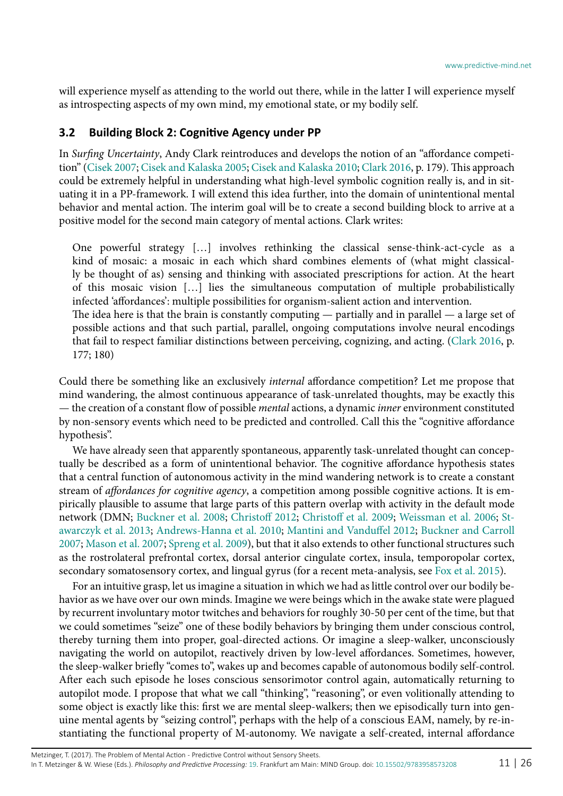will experience myself as attending to the world out there, while in the latter I will experience myself as introspecting aspects of my own mind, my emotional state, or my bodily self.

#### <span id="page-10-0"></span>**3.2 Building Block 2: Cognitive Agency under PP**

In *Surfing Uncertainty*, Andy Clark reintroduces and develops the notion of an "affordance competition" [\(Cisek 2007](#page-22-10); [Cisek and Kalaska 2005;](#page-22-11) [Cisek and Kalaska 2010;](#page-22-12) [Clark 2016,](#page-22-13) p. 179). This approach could be extremely helpful in understanding what high-level symbolic cognition really is, and in situating it in a PP-framework. I will extend this idea further, into the domain of unintentional mental behavior and mental action. The interim goal will be to create a second building block to arrive at a positive model for the second main category of mental actions. Clark writes:

One powerful strategy […] involves rethinking the classical sense-think-act-cycle as a kind of mosaic: a mosaic in each which shard combines elements of (what might classically be thought of as) sensing and thinking with associated prescriptions for action. At the heart of this mosaic vision […] lies the simultaneous computation of multiple probabilistically infected 'affordances': multiple possibilities for organism-salient action and intervention. The idea here is that the brain is constantly computing — partially and in parallel — a large set of possible actions and that such partial, parallel, ongoing computations involve neural encodings

that fail to respect familiar distinctions between perceiving, cognizing, and acting. [\(Clark 2016,](#page-22-13) p. 177; 180)

Could there be something like an exclusively *internal* affordance competition? Let me propose that mind wandering, the almost continuous appearance of task-unrelated thoughts, may be exactly this — the creation of a constant flow of possible *mental* actions, a dynamic *inner* environment constituted by non-sensory events which need to be predicted and controlled. Call this the "cognitive affordance hypothesis".

We have already seen that apparently spontaneous, apparently task-unrelated thought can conceptually be described as a form of unintentional behavior. The cognitive affordance hypothesis states that a central function of autonomous activity in the mind wandering network is to create a constant stream of *affordances for cognitive agency*, a competition among possible cognitive actions. It is empirically plausible to assume that large parts of this pattern overlap with activity in the default mode network (DMN; [Buckner et al. 2008](#page-22-14); [Christoff 2012;](#page-22-15) [Christoff et al. 2009;](#page-22-16) [Weissman et al. 2006;](#page-25-11) [St](#page-25-12)[awarczyk et al. 2013](#page-25-12); [Andrews-Hanna et al. 2010;](#page-22-17) [Mantini and Vanduffel 2012](#page-24-18); [Buckner and Carroll](#page-22-18) [2007](#page-22-18); [Mason et al. 2007](#page-24-19); [Spreng et al. 2009\)](#page-25-13), but that it also extends to other functional structures such as the rostrolateral prefrontal cortex, dorsal anterior cingulate cortex, insula, temporopolar cortex, secondary somatosensory cortex, and lingual gyrus (for a recent meta-analysis, see [Fox et al. 2015\)](#page-23-16).

For an intuitive grasp, let us imagine a situation in which we had as little control over our bodily behavior as we have over our own minds. Imagine we were beings which in the awake state were plagued by recurrent involuntary motor twitches and behaviors for roughly 30-50 per cent of the time, but that we could sometimes "seize" one of these bodily behaviors by bringing them under conscious control, thereby turning them into proper, goal-directed actions. Or imagine a sleep-walker, unconsciously navigating the world on autopilot, reactively driven by low-level affordances. Sometimes, however, the sleep-walker briefly "comes to", wakes up and becomes capable of autonomous bodily self-control. After each such episode he loses conscious sensorimotor control again, automatically returning to autopilot mode. I propose that what we call "thinking", "reasoning", or even volitionally attending to some object is exactly like this: first we are mental sleep-walkers; then we episodically turn into genuine mental agents by "seizing control", perhaps with the help of a conscious EAM, namely, by re-instantiating the functional property of M-autonomy. We navigate a self-created, internal affordance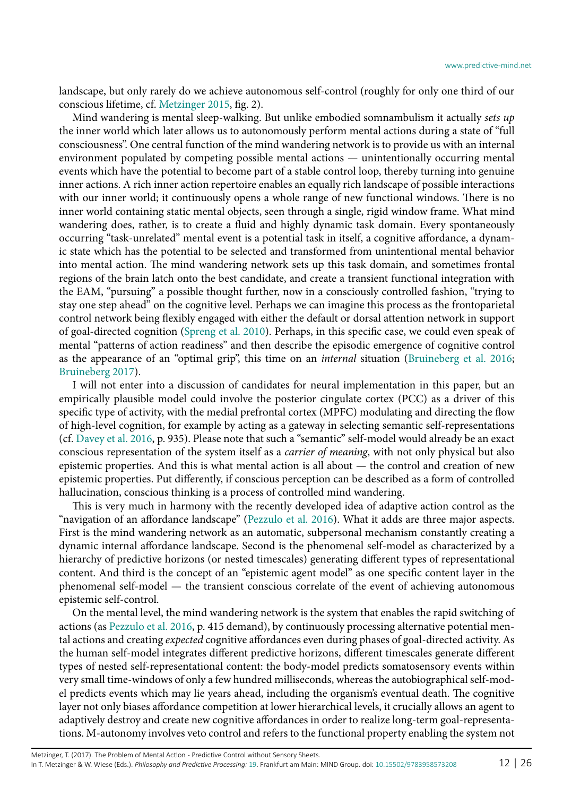landscape, but only rarely do we achieve autonomous self-control (roughly for only one third of our conscious lifetime, cf. [Metzinger 2015,](#page-24-2) fig. 2).

Mind wandering is mental sleep-walking. But unlike embodied somnambulism it actually *sets up*  the inner world which later allows us to autonomously perform mental actions during a state of "full consciousness". One central function of the mind wandering network is to provide us with an internal environment populated by competing possible mental actions — unintentionally occurring mental events which have the potential to become part of a stable control loop, thereby turning into genuine inner actions. A rich inner action repertoire enables an equally rich landscape of possible interactions with our inner world; it continuously opens a whole range of new functional windows. There is no inner world containing static mental objects, seen through a single, rigid window frame. What mind wandering does, rather, is to create a fluid and highly dynamic task domain. Every spontaneously occurring "task-unrelated" mental event is a potential task in itself, a cognitive affordance, a dynamic state which has the potential to be selected and transformed from unintentional mental behavior into mental action. The mind wandering network sets up this task domain, and sometimes frontal regions of the brain latch onto the best candidate, and create a transient functional integration with the EAM, "pursuing" a possible thought further, now in a consciously controlled fashion, "trying to stay one step ahead" on the cognitive level. Perhaps we can imagine this process as the frontoparietal control network being flexibly engaged with either the default or dorsal attention network in support of goal-directed cognition [\(Spreng et al. 2010](#page-25-14)). Perhaps, in this specific case, we could even speak of mental "patterns of action readiness" and then describe the episodic emergence of cognitive control as the appearance of an "optimal grip", this time on an *internal* situation ([Bruineberg et al. 2016;](#page-22-19) [Bruineberg 2017](#page-22-20)).

I will not enter into a discussion of candidates for neural implementation in this paper, but an empirically plausible model could involve the posterior cingulate cortex (PCC) as a driver of this specific type of activity, with the medial prefrontal cortex (MPFC) modulating and directing the flow of high-level cognition, for example by acting as a gateway in selecting semantic self-representations (cf. [Davey et al. 2016,](#page-23-17) p. 935). Please note that such a "semantic" self-model would already be an exact conscious representation of the system itself as a *carrier of meaning*, with not only physical but also epistemic properties. And this is what mental action is all about — the control and creation of new epistemic properties. Put differently, if conscious perception can be described as a form of controlled hallucination, conscious thinking is a process of controlled mind wandering.

This is very much in harmony with the recently developed idea of adaptive action control as the "navigation of an affordance landscape" ([Pezzulo et al. 2016](#page-24-8)). What it adds are three major aspects. First is the mind wandering network as an automatic, subpersonal mechanism constantly creating a dynamic internal affordance landscape. Second is the phenomenal self-model as characterized by a hierarchy of predictive horizons (or nested timescales) generating different types of representational content. And third is the concept of an "epistemic agent model" as one specific content layer in the phenomenal self-model — the transient conscious correlate of the event of achieving autonomous epistemic self-control.

On the mental level, the mind wandering network is the system that enables the rapid switching of actions (as [Pezzulo et al. 2016](#page-24-8), p. 415 demand), by continuously processing alternative potential mental actions and creating *expected* cognitive affordances even during phases of goal-directed activity. As the human self-model integrates different predictive horizons, different timescales generate different types of nested self-representational content: the body-model predicts somatosensory events within very small time-windows of only a few hundred milliseconds, whereas the autobiographical self-model predicts events which may lie years ahead, including the organism's eventual death. The cognitive layer not only biases affordance competition at lower hierarchical levels, it crucially allows an agent to adaptively destroy and create new cognitive affordances in order to realize long-term goal-representations. M-autonomy involves veto control and refers to the functional property enabling the system not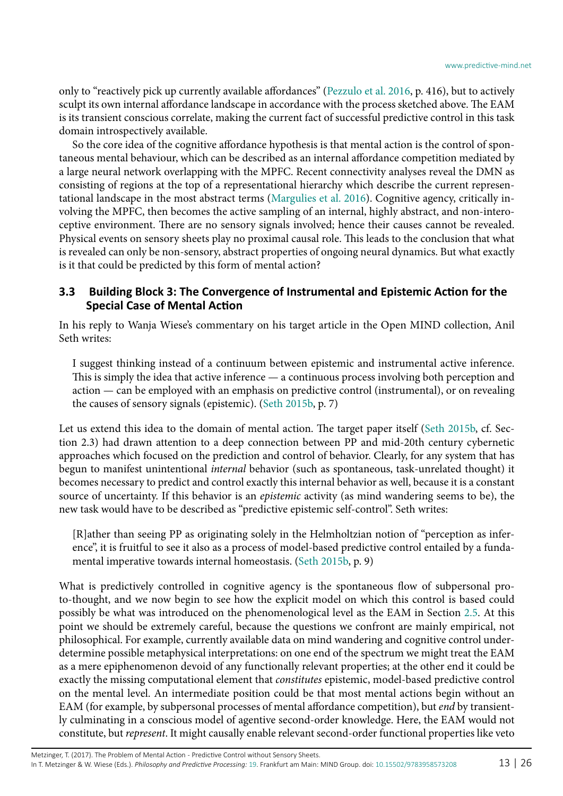only to "reactively pick up currently available affordances" ([Pezzulo et al. 2016,](#page-24-8) p. 416), but to actively sculpt its own internal affordance landscape in accordance with the process sketched above. The EAM is its transient conscious correlate, making the current fact of successful predictive control in this task domain introspectively available.

So the core idea of the cognitive affordance hypothesis is that mental action is the control of spontaneous mental behaviour, which can be described as an internal affordance competition mediated by a large neural network overlapping with the MPFC. Recent connectivity analyses reveal the DMN as consisting of regions at the top of a representational hierarchy which describe the current representational landscape in the most abstract terms ([Margulies et al. 2016\)](#page-24-20). Cognitive agency, critically involving the MPFC, then becomes the active sampling of an internal, highly abstract, and non-interoceptive environment. There are no sensory signals involved; hence their causes cannot be revealed. Physical events on sensory sheets play no proximal causal role. This leads to the conclusion that what is revealed can only be non-sensory, abstract properties of ongoing neural dynamics. But what exactly is it that could be predicted by this form of mental action?

#### <span id="page-12-0"></span>**3.3 Building Block 3: The Convergence of Instrumental and Epistemic Action for the Special Case of Mental Action**

In his reply to Wanja Wiese's commentary on his target article in the Open MIND collection, Anil Seth writes:

I suggest thinking instead of a continuum between epistemic and instrumental active inference. This is simply the idea that active inference — a continuous process involving both perception and action — can be employed with an emphasis on predictive control (instrumental), or on revealing the causes of sensory signals (epistemic). [\(Seth 2015](#page-25-15)b, p. 7)

Let us extend this idea to the domain of mental action. The target paper itself [\(Seth 2015](#page-25-16)b, cf. Section 2.3) had drawn attention to a deep connection between PP and mid-20th century cybernetic approaches which focused on the prediction and control of behavior. Clearly, for any system that has begun to manifest unintentional *internal* behavior (such as spontaneous, task-unrelated thought) it becomes necessary to predict and control exactly this internal behavior as well, because it is a constant source of uncertainty. If this behavior is an *epistemic* activity (as mind wandering seems to be), the new task would have to be described as "predictive epistemic self-control". Seth writes:

[R]ather than seeing PP as originating solely in the Helmholtzian notion of "perception as inference", it is fruitful to see it also as a process of model-based predictive control entailed by a fundamental imperative towards internal homeostasis. ([Seth 2015b](#page-25-16), p. 9)

What is predictively controlled in cognitive agency is the spontaneous flow of subpersonal proto-thought, and we now begin to see how the explicit model on which this control is based could possibly be what was introduced on the phenomenological level as the EAM in Section [2.5](#page-6-0). At this point we should be extremely careful, because the questions we confront are mainly empirical, not philosophical. For example, currently available data on mind wandering and cognitive control underdetermine possible metaphysical interpretations: on one end of the spectrum we might treat the EAM as a mere epiphenomenon devoid of any functionally relevant properties; at the other end it could be exactly the missing computational element that *constitutes* epistemic, model-based predictive control on the mental level. An intermediate position could be that most mental actions begin without an EAM (for example, by subpersonal processes of mental affordance competition), but *end* by transiently culminating in a conscious model of agentive second-order knowledge. Here, the EAM would not constitute, but *represent*. It might causally enable relevant second-order functional properties like veto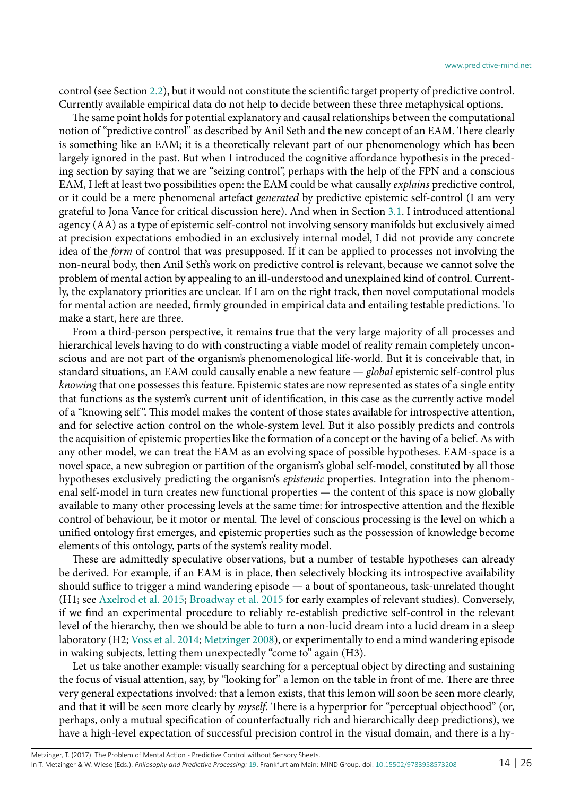control (see Section [2.2\)](#page-2-0), but it would not constitute the scientific target property of predictive control. Currently available empirical data do not help to decide between these three metaphysical options.

The same point holds for potential explanatory and causal relationships between the computational notion of "predictive control" as described by Anil Seth and the new concept of an EAM. There clearly is something like an EAM; it is a theoretically relevant part of our phenomenology which has been largely ignored in the past. But when I introduced the cognitive affordance hypothesis in the preceding section by saying that we are "seizing control", perhaps with the help of the FPN and a conscious EAM, I left at least two possibilities open: the EAM could be what causally *explains* predictive control, or it could be a mere phenomenal artefact *generated* by predictive epistemic self-control (I am very grateful to Jona Vance for critical discussion here). And when in Section [3.1.](#page-8-1) I introduced attentional agency (AA) as a type of epistemic self-control not involving sensory manifolds but exclusively aimed at precision expectations embodied in an exclusively internal model, I did not provide any concrete idea of the *form* of control that was presupposed. If it can be applied to processes not involving the non-neural body, then Anil Seth's work on predictive control is relevant, because we cannot solve the problem of mental action by appealing to an ill-understood and unexplained kind of control. Currently, the explanatory priorities are unclear. If I am on the right track, then novel computational models for mental action are needed, firmly grounded in empirical data and entailing testable predictions. To make a start, here are three.

From a third-person perspective, it remains true that the very large majority of all processes and hierarchical levels having to do with constructing a viable model of reality remain completely unconscious and are not part of the organism's phenomenological life-world. But it is conceivable that, in standard situations, an EAM could causally enable a new feature — *global* epistemic self-control plus *knowing* that one possesses this feature. Epistemic states are now represented as states of a single entity that functions as the system's current unit of identification, in this case as the currently active model of a "knowing self ". This model makes the content of those states available for introspective attention, and for selective action control on the whole-system level. But it also possibly predicts and controls the acquisition of epistemic properties like the formation of a concept or the having of a belief. As with any other model, we can treat the EAM as an evolving space of possible hypotheses. EAM-space is a novel space, a new subregion or partition of the organism's global self-model, constituted by all those hypotheses exclusively predicting the organism's *epistemic* properties. Integration into the phenomenal self-model in turn creates new functional properties — the content of this space is now globally available to many other processing levels at the same time: for introspective attention and the flexible control of behaviour, be it motor or mental. The level of conscious processing is the level on which a unified ontology first emerges, and epistemic properties such as the possession of knowledge become elements of this ontology, parts of the system's reality model.

These are admittedly speculative observations, but a number of testable hypotheses can already be derived. For example, if an EAM is in place, then selectively blocking its introspective availability should suffice to trigger a mind wandering episode — a bout of spontaneous, task-unrelated thought (H1; see [Axelrod et al. 2015;](#page-22-21) [Broadway et al. 2015](#page-22-22) for early examples of relevant studies). Conversely, if we find an experimental procedure to reliably re-establish predictive self-control in the relevant level of the hierarchy, then we should be able to turn a non-lucid dream into a lucid dream in a sleep laboratory (H2; [Voss et al. 2014;](#page-25-17) [Metzinger 2008\)](#page-24-13), or experimentally to end a mind wandering episode in waking subjects, letting them unexpectedly "come to" again (H3).

Let us take another example: visually searching for a perceptual object by directing and sustaining the focus of visual attention, say, by "looking for" a lemon on the table in front of me. There are three very general expectations involved: that a lemon exists, that this lemon will soon be seen more clearly, and that it will be seen more clearly by *myself*. There is a hyperprior for "perceptual objecthood" (or, perhaps, only a mutual specification of counterfactually rich and hierarchically deep predictions), we have a high-level expectation of successful precision control in the visual domain, and there is a hy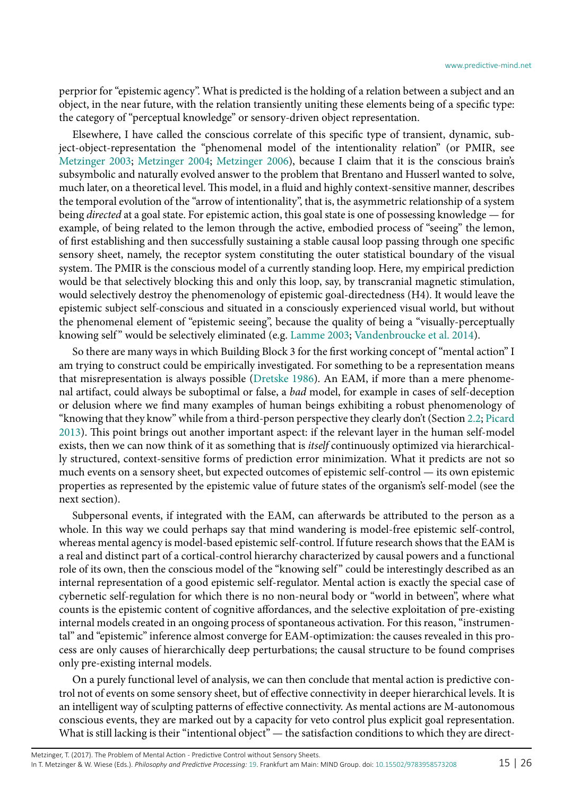perprior for "epistemic agency". What is predicted is the holding of a relation between a subject and an object, in the near future, with the relation transiently uniting these elements being of a specific type: the category of "perceptual knowledge" or sensory-driven object representation.

Elsewhere, I have called the conscious correlate of this specific type of transient, dynamic, subject-object-representation the "phenomenal model of the intentionality relation" (or PMIR, see [Metzinger 2003;](#page-24-12) [Metzinger 2004;](#page-24-21) [Metzinger 2006](#page-24-17)), because I claim that it is the conscious brain's subsymbolic and naturally evolved answer to the problem that Brentano and Husserl wanted to solve, much later, on a theoretical level. This model, in a fluid and highly context-sensitive manner, describes the temporal evolution of the "arrow of intentionality", that is, the asymmetric relationship of a system being *directed* at a goal state. For epistemic action, this goal state is one of possessing knowledge — for example, of being related to the lemon through the active, embodied process of "seeing" the lemon, of first establishing and then successfully sustaining a stable causal loop passing through one specific sensory sheet, namely, the receptor system constituting the outer statistical boundary of the visual system. The PMIR is the conscious model of a currently standing loop. Here, my empirical prediction would be that selectively blocking this and only this loop, say, by transcranial magnetic stimulation, would selectively destroy the phenomenology of epistemic goal-directedness (H4). It would leave the epistemic subject self-conscious and situated in a consciously experienced visual world, but without the phenomenal element of "epistemic seeing", because the quality of being a "visually-perceptually knowing self" would be selectively eliminated (e.g. [Lamme 2003](#page-24-22); [Vandenbroucke et al. 2014](#page-25-18)).

So there are many ways in which Building Block 3 for the first working concept of "mental action" I am trying to construct could be empirically investigated. For something to be a representation means that misrepresentation is always possible ([Dretske 1986\)](#page-23-18). An EAM, if more than a mere phenomenal artifact, could always be suboptimal or false, a *bad* model, for example in cases of self-deception or delusion where we find many examples of human beings exhibiting a robust phenomenology of "knowing that they know" while from a third-person perspective they clearly don't (Section [2.2;](#page-2-0) [Picard](#page-24-15) [2013](#page-24-15)). This point brings out another important aspect: if the relevant layer in the human self-model exists, then we can now think of it as something that is *itself* continuously optimized via hierarchically structured, context-sensitive forms of prediction error minimization. What it predicts are not so much events on a sensory sheet, but expected outcomes of epistemic self-control — its own epistemic properties as represented by the epistemic value of future states of the organism's self-model (see the next section).

Subpersonal events, if integrated with the EAM, can afterwards be attributed to the person as a whole. In this way we could perhaps say that mind wandering is model-free epistemic self-control, whereas mental agency is model-based epistemic self-control. If future research shows that the EAM is a real and distinct part of a cortical-control hierarchy characterized by causal powers and a functional role of its own, then the conscious model of the "knowing self " could be interestingly described as an internal representation of a good epistemic self-regulator. Mental action is exactly the special case of cybernetic self-regulation for which there is no non-neural body or "world in between", where what counts is the epistemic content of cognitive affordances, and the selective exploitation of pre-existing internal models created in an ongoing process of spontaneous activation. For this reason, "instrumental" and "epistemic" inference almost converge for EAM-optimization: the causes revealed in this process are only causes of hierarchically deep perturbations; the causal structure to be found comprises only pre-existing internal models.

On a purely functional level of analysis, we can then conclude that mental action is predictive control not of events on some sensory sheet, but of effective connectivity in deeper hierarchical levels. It is an intelligent way of sculpting patterns of effective connectivity. As mental actions are M-autonomous conscious events, they are marked out by a capacity for veto control plus explicit goal representation. What is still lacking is their "intentional object" — the satisfaction conditions to which they are direct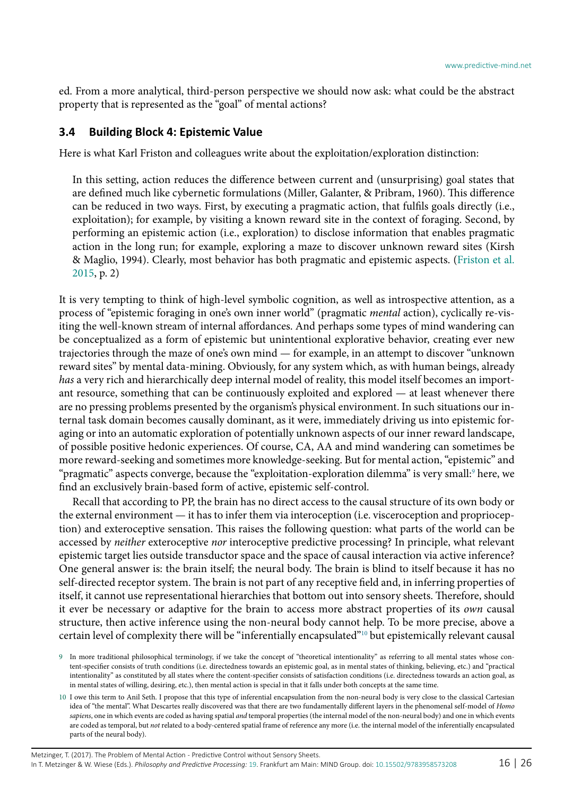ed. From a more analytical, third-person perspective we should now ask: what could be the abstract property that is represented as the "goal" of mental actions?

#### **3.4 Building Block 4: Epistemic Value**

Here is what Karl Friston and colleagues write about the exploitation/exploration distinction:

In this setting, action reduces the difference between current and (unsurprising) goal states that are defined much like cybernetic formulations (Miller, Galanter, & Pribram, 1960). This difference can be reduced in two ways. First, by executing a pragmatic action, that fulfils goals directly (i.e., exploitation); for example, by visiting a known reward site in the context of foraging. Second, by performing an epistemic action (i.e., exploration) to disclose information that enables pragmatic action in the long run; for example, exploring a maze to discover unknown reward sites (Kirsh & Maglio, 1994). Clearly, most behavior has both pragmatic and epistemic aspects. ([Friston et al.](#page-23-19) [2015,](#page-23-19) p. 2)

It is very tempting to think of high-level symbolic cognition, as well as introspective attention, as a process of "epistemic foraging in one's own inner world" (pragmatic *mental* action), cyclically re-visiting the well-known stream of internal affordances. And perhaps some types of mind wandering can be conceptualized as a form of epistemic but unintentional explorative behavior, creating ever new trajectories through the maze of one's own mind — for example, in an attempt to discover "unknown reward sites" by mental data-mining. Obviously, for any system which, as with human beings, already *has* a very rich and hierarchically deep internal model of reality, this model itself becomes an important resource, something that can be continuously exploited and explored — at least whenever there are no pressing problems presented by the organism's physical environment. In such situations our internal task domain becomes causally dominant, as it were, immediately driving us into epistemic foraging or into an automatic exploration of potentially unknown aspects of our inner reward landscape, of possible positive hedonic experiences. Of course, CA, AA and mind wandering can sometimes be more reward-seeking and sometimes more knowledge-seeking. But for mental action, "epistemic" and "pragmatic" aspects converge, because the "exploitation-exploration dilemma" is very small:[9](#page-15-0) here, we find an exclusively brain-based form of active, epistemic self-control.

Recall that according to PP, the brain has no direct access to the causal structure of its own body or the external environment — it has to infer them via interoception (i.e. visceroception and proprioception) and exteroceptive sensation. This raises the following question: what parts of the world can be accessed by *neither* exteroceptive *nor* interoceptive predictive processing? In principle, what relevant epistemic target lies outside transductor space and the space of causal interaction via active inference? One general answer is: the brain itself; the neural body. The brain is blind to itself because it has no self-directed receptor system. The brain is not part of any receptive field and, in inferring properties of itself, it cannot use representational hierarchies that bottom out into sensory sheets. Therefore, should it ever be necessary or adaptive for the brain to access more abstract properties of its *own* causal structure, then active inference using the non-neural body cannot help. To be more precise, above a certain level of complexity there will be "inferentially encapsulated"[10](#page-15-1) but epistemically relevant causal

<span id="page-15-0"></span><sup>9</sup> In more traditional philosophical terminology, if we take the concept of "theoretical intentionality" as referring to all mental states whose content-specifier consists of truth conditions (i.e. directedness towards an epistemic goal, as in mental states of thinking, believing, etc.) and "practical intentionality" as constituted by all states where the content-specifier consists of satisfaction conditions (i.e. directedness towards an action goal, as in mental states of willing, desiring, etc.), then mental action is special in that it falls under both concepts at the same time.

<span id="page-15-1"></span><sup>10</sup> I owe this term to Anil Seth. I propose that this type of inferential encapsulation from the non-neural body is very close to the classical Cartesian idea of "the mental". What Descartes really discovered was that there are two fundamentally different layers in the phenomenal self-model of *Homo sapiens*, one in which events are coded as having spatial *and* temporal properties (the internal model of the non-neural body) and one in which events are coded as temporal, but *not* related to a body-centered spatial frame of reference any more (i.e. the internal model of the inferentially encapsulated parts of the neural body).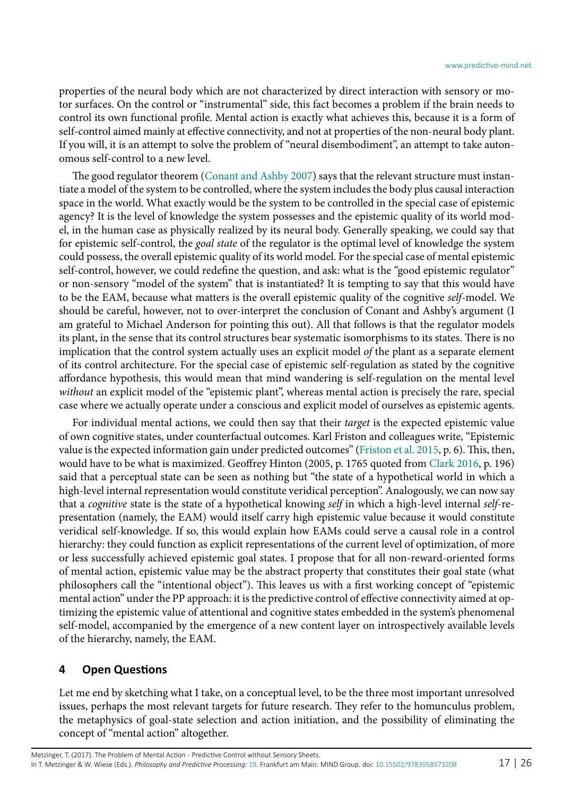properties of the neural body which are not characterized by direct interaction with sensory or motor surfaces. On the control or "instrumental" side, this fact becomes a problem if the brain needs to control its own functional profile. Mental action is exactly what achieves this, because it is a form of self-control aimed mainly at effective connectivity, and not at properties of the non-neural body plant. If you will, it is an attempt to solve the problem of "neural disembodiment", an attempt to take autonomous self-control to a new level.

The good regulator theorem [\(Conant and Ashby 2007\)](#page-23-20) says that the relevant structure must instantiate a model of the system to be controlled, where the system includes the body plus causal interaction space in the world. What exactly would be the system to be controlled in the special case of epistemic agency? It is the level of knowledge the system possesses and the epistemic quality of its world model, in the human case as physically realized by its neural body. Generally speaking, we could say that for epistemic self-control, the *goal state* of the regulator is the optimal level of knowledge the system could possess, the overall epistemic quality of its world model. For the special case of mental epistemic self-control, however, we could redefine the question, and ask: what is the "good epistemic regulator" or non-sensory "model of the system" that is instantiated? It is tempting to say that this would have to be the EAM, because what matters is the overall epistemic quality of the cognitive *self*-model. We should be careful, however, not to over-interpret the conclusion of Conant and Ashby's argument (I am grateful to Michael Anderson for pointing this out). All that follows is that the regulator models its plant, in the sense that its control structures bear systematic isomorphisms to its states. There is no implication that the control system actually uses an explicit model *of* the plant as a separate element of its control architecture. For the special case of epistemic self-regulation as stated by the cognitive affordance hypothesis, this would mean that mind wandering is self-regulation on the mental level *without* an explicit model of the "epistemic plant", whereas mental action is precisely the rare, special case where we actually operate under a conscious and explicit model of ourselves as epistemic agents.

For individual mental actions, we could then say that their *target* is the expected epistemic value of own cognitive states, under counterfactual outcomes. Karl Friston and colleagues write, "Epistemic value is the expected information gain under predicted outcomes" [\(Friston et al. 2015,](#page-23-19) p. 6). This, then, would have to be what is maximized. Geoffrey Hinton (2005, p. 1765 quoted from [Clark 2016](#page-22-13), p. 196) said that a perceptual state can be seen as nothing but "the state of a hypothetical world in which a high-level internal representation would constitute veridical perception". Analogously, we can now say that a *cognitive* state is the state of a hypothetical knowing *self* in which a high-level internal *self*-representation (namely, the EAM) would itself carry high epistemic value because it would constitute veridical self-knowledge. If so, this would explain how EAMs could serve a causal role in a control hierarchy: they could function as explicit representations of the current level of optimization, of more or less successfully achieved epistemic goal states. I propose that for all non-reward-oriented forms of mental action, epistemic value may be the abstract property that constitutes their goal state (what philosophers call the "intentional object"). This leaves us with a first working concept of "epistemic mental action" under the PP approach: it is the predictive control of effective connectivity aimed at optimizing the epistemic value of attentional and cognitive states embedded in the system's phenomenal self-model, accompanied by the emergence of a new content layer on introspectively available levels of the hierarchy, namely, the EAM.

#### <span id="page-16-0"></span>**4 Open Questions**

Let me end by sketching what I take, on a conceptual level, to be the three most important unresolved issues, perhaps the most relevant targets for future research. They refer to the homunculus problem, the metaphysics of goal-state selection and action initiation, and the possibility of eliminating the concept of "mental action" altogether.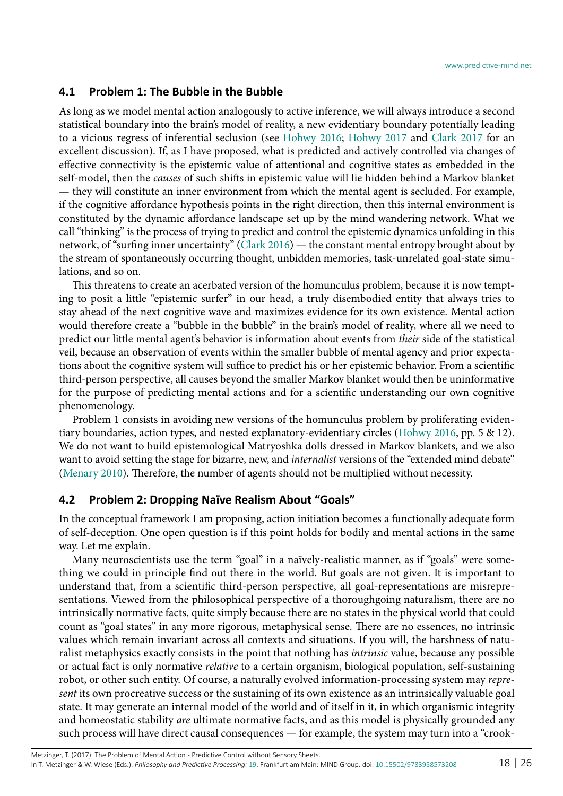#### **4.1 Problem 1: The Bubble in the Bubble**

As long as we model mental action analogously to active inference, we will always introduce a second statistical boundary into the brain's model of reality, a new evidentiary boundary potentially leading to a vicious regress of inferential seclusion (see [Hohwy 2016](#page-23-21); [Hohwy 2017](#page-23-22) and [Clark 2017](#page-22-23) for an excellent discussion). If, as I have proposed, what is predicted and actively controlled via changes of effective connectivity is the epistemic value of attentional and cognitive states as embedded in the self-model, then the *causes* of such shifts in epistemic value will lie hidden behind a Markov blanket — they will constitute an inner environment from which the mental agent is secluded. For example, if the cognitive affordance hypothesis points in the right direction, then this internal environment is constituted by the dynamic affordance landscape set up by the mind wandering network. What we call "thinking" is the process of trying to predict and control the epistemic dynamics unfolding in this network, of "surfing inner uncertainty" [\(Clark 2016\)](#page-22-13) — the constant mental entropy brought about by the stream of spontaneously occurring thought, unbidden memories, task-unrelated goal-state simulations, and so on.

This threatens to create an acerbated version of the homunculus problem, because it is now tempting to posit a little "epistemic surfer" in our head, a truly disembodied entity that always tries to stay ahead of the next cognitive wave and maximizes evidence for its own existence. Mental action would therefore create a "bubble in the bubble" in the brain's model of reality, where all we need to predict our little mental agent's behavior is information about events from *their* side of the statistical veil, because an observation of events within the smaller bubble of mental agency and prior expectations about the cognitive system will suffice to predict his or her epistemic behavior. From a scientific third-person perspective, all causes beyond the smaller Markov blanket would then be uninformative for the purpose of predicting mental actions and for a scientific understanding our own cognitive phenomenology.

Problem 1 consists in avoiding new versions of the homunculus problem by proliferating evidentiary boundaries, action types, and nested explanatory-evidentiary circles [\(Hohwy 2016](#page-23-21), pp. 5 & 12). We do not want to build epistemological Matryoshka dolls dressed in Markov blankets, and we also want to avoid setting the stage for bizarre, new, and *internalist* versions of the "extended mind debate" ([Menary 2010\)](#page-24-23). Therefore, the number of agents should not be multiplied without necessity.

#### **4.2 Problem 2: Dropping Naïve Realism About "Goals"**

In the conceptual framework I am proposing, action initiation becomes a functionally adequate form of self-deception. One open question is if this point holds for bodily and mental actions in the same way. Let me explain.

Many neuroscientists use the term "goal" in a naïvely-realistic manner, as if "goals" were something we could in principle find out there in the world. But goals are not given. It is important to understand that, from a scientific third-person perspective, all goal-representations are misrepresentations. Viewed from the philosophical perspective of a thoroughgoing naturalism, there are no intrinsically normative facts, quite simply because there are no states in the physical world that could count as "goal states" in any more rigorous, metaphysical sense. There are no essences, no intrinsic values which remain invariant across all contexts and situations. If you will, the harshness of naturalist metaphysics exactly consists in the point that nothing has *intrinsic* value, because any possible or actual fact is only normative *relative* to a certain organism, biological population, self-sustaining robot, or other such entity. Of course, a naturally evolved information-processing system may *represent* its own procreative success or the sustaining of its own existence as an intrinsically valuable goal state. It may generate an internal model of the world and of itself in it, in which organismic integrity and homeostatic stability *are* ultimate normative facts, and as this model is physically grounded any such process will have direct causal consequences — for example, the system may turn into a "crook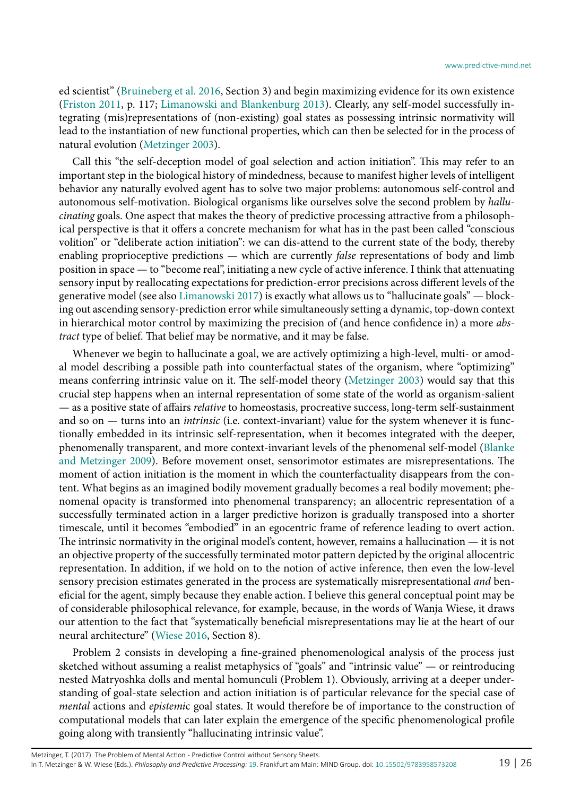ed scientist" ([Bruineberg et al. 2016](#page-22-19), Section 3) and begin maximizing evidence for its own existence ([Friston 2011](#page-23-23), p. 117; [Limanowski and Blankenburg 2013\)](#page-24-24). Clearly, any self-model successfully integrating (mis)representations of (non-existing) goal states as possessing intrinsic normativity will lead to the instantiation of new functional properties, which can then be selected for in the process of natural evolution ([Metzinger 2003](#page-24-12)).

Call this "the self-deception model of goal selection and action initiation". This may refer to an important step in the biological history of mindedness, because to manifest higher levels of intelligent behavior any naturally evolved agent has to solve two major problems: autonomous self-control and autonomous self-motivation. Biological organisms like ourselves solve the second problem by *hallucinating* goals. One aspect that makes the theory of predictive processing attractive from a philosophical perspective is that it offers a concrete mechanism for what has in the past been called "conscious volition" or "deliberate action initiation": we can dis-attend to the current state of the body, thereby enabling proprioceptive predictions — which are currently *false* representations of body and limb position in space — to "become real", initiating a new cycle of active inference. I think that attenuating sensory input by reallocating expectations for prediction-error precisions across different levels of the generative model (see also [Limanowski 2017\)](#page-24-25) is exactly what allows us to "hallucinate goals" — blocking out ascending sensory-prediction error while simultaneously setting a dynamic, top-down context in hierarchical motor control by maximizing the precision of (and hence confidence in) a more *abstract* type of belief. That belief may be normative, and it may be false.

Whenever we begin to hallucinate a goal, we are actively optimizing a high-level, multi- or amodal model describing a possible path into counterfactual states of the organism, where "optimizing" means conferring intrinsic value on it. The self-model theory [\(Metzinger 2003](#page-24-12)) would say that this crucial step happens when an internal representation of some state of the world as organism-salient — as a positive state of affairs *relative* to homeostasis, procreative success, long-term self-sustainment and so on — turns into an *intrinsic* (i.e. context-invariant) value for the system whenever it is functionally embedded in its intrinsic self-representation, when it becomes integrated with the deeper, phenomenally transparent, and more context-invariant levels of the phenomenal self-model [\(Blanke](#page-22-9) [and Metzinger 2009](#page-22-9)). Before movement onset, sensorimotor estimates are misrepresentations. The moment of action initiation is the moment in which the counterfactuality disappears from the content. What begins as an imagined bodily movement gradually becomes a real bodily movement; phenomenal opacity is transformed into phenomenal transparency; an allocentric representation of a successfully terminated action in a larger predictive horizon is gradually transposed into a shorter timescale, until it becomes "embodied" in an egocentric frame of reference leading to overt action. The intrinsic normativity in the original model's content, however, remains a hallucination — it is not an objective property of the successfully terminated motor pattern depicted by the original allocentric representation. In addition, if we hold on to the notion of active inference, then even the low-level sensory precision estimates generated in the process are systematically misrepresentational *and* beneficial for the agent, simply because they enable action. I believe this general conceptual point may be of considerable philosophical relevance, for example, because, in the words of Wanja Wiese, it draws our attention to the fact that "systematically beneficial misrepresentations may lie at the heart of our neural architecture" [\(Wiese 2016,](#page-25-19) Section 8).

Problem 2 consists in developing a fine-grained phenomenological analysis of the process just sketched without assuming a realist metaphysics of "goals" and "intrinsic value" — or reintroducing nested Matryoshka dolls and mental homunculi (Problem 1). Obviously, arriving at a deeper understanding of goal-state selection and action initiation is of particular relevance for the special case of *mental* actions and *epistemi*c goal states. It would therefore be of importance to the construction of computational models that can later explain the emergence of the specific phenomenological profile going along with transiently "hallucinating intrinsic value".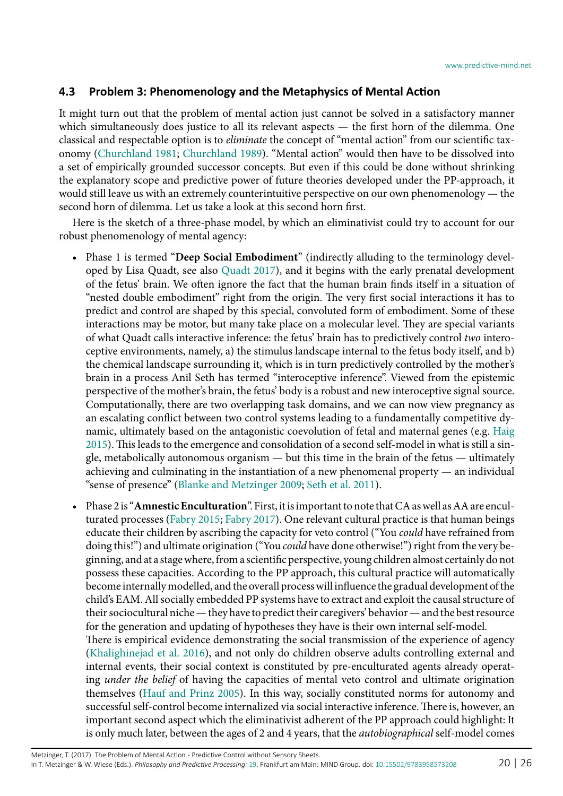#### <span id="page-19-0"></span>**4.3 Problem 3: Phenomenology and the Metaphysics of Mental Action**

It might turn out that the problem of mental action just cannot be solved in a satisfactory manner which simultaneously does justice to all its relevant aspects — the first horn of the dilemma. One classical and respectable option is to *eliminate* the concept of "mental action" from our scientific taxonomy [\(Churchland 1981](#page-22-24); [Churchland 1989](#page-22-25)). "Mental action" would then have to be dissolved into a set of empirically grounded successor concepts. But even if this could be done without shrinking the explanatory scope and predictive power of future theories developed under the PP-approach, it would still leave us with an extremely counterintuitive perspective on our own phenomenology — the second horn of dilemma. Let us take a look at this second horn first.

Here is the sketch of a three-phase model, by which an eliminativist could try to account for our robust phenomenology of mental agency:

- Phase 1 is termed "**Deep Social Embodiment**" (indirectly alluding to the terminology developed by Lisa Quadt, see also [Quadt 2017](#page-25-20)), and it begins with the early prenatal development of the fetus' brain. We often ignore the fact that the human brain finds itself in a situation of "nested double embodiment" right from the origin. The very first social interactions it has to predict and control are shaped by this special, convoluted form of embodiment. Some of these interactions may be motor, but many take place on a molecular level. They are special variants of what Quadt calls interactive inference: the fetus' brain has to predictively control *two* interoceptive environments, namely, a) the stimulus landscape internal to the fetus body itself, and b) the chemical landscape surrounding it, which is in turn predictively controlled by the mother's brain in a process Anil Seth has termed "interoceptive inference". Viewed from the epistemic perspective of the mother's brain, the fetus' body is a robust and new interoceptive signal source. Computationally, there are two overlapping task domains, and we can now view pregnancy as an escalating conflict between two control systems leading to a fundamentally competitive dynamic, ultimately based on the antagonistic coevolution of fetal and maternal genes (e.g. [Haig](#page-23-24) [2015\)](#page-23-24). This leads to the emergence and consolidation of a second self-model in what is still a single, metabolically autonomous organism — but this time in the brain of the fetus — ultimately achieving and culminating in the instantiation of a new phenomenal property — an individual "sense of presence" [\(Blanke and Metzinger 2009](#page-22-9); [Seth et al. 2011\)](#page-25-21).
- Phase 2 is "**Amnestic Enculturation**". First, it is important to note that CA as well as AA are enculturated processes ([Fabry 2015;](#page-23-1) [Fabry 2017](#page-23-2)). One relevant cultural practice is that human beings educate their children by ascribing the capacity for veto control ("You *could* have refrained from doing this!") and ultimate origination ("You *could* have done otherwise!") right from the very beginning, and at a stage where, from a scientific perspective, young children almost certainly do not possess these capacities. According to the PP approach, this cultural practice will automatically become internally modelled, and the overall process will influence the gradual development of the child's EAM. All socially embedded PP systems have to extract and exploit the causal structure of their sociocultural niche — they have to predict their caregivers' behavior — and the best resource for the generation and updating of hypotheses they have is their own internal self-model. There is empirical evidence demonstrating the social transmission of the experience of agency ([Khalighinejad et al. 2016\)](#page-23-25), and not only do children observe adults controlling external and internal events, their social context is constituted by pre-enculturated agents already operating *under the belief* of having the capacities of mental veto control and ultimate origination themselves [\(Hauf and Prinz 2005](#page-23-26)). In this way, socially constituted norms for autonomy and successful self-control become internalized via social interactive inference. There is, however, an important second aspect which the eliminativist adherent of the PP approach could highlight: It is only much later, between the ages of 2 and 4 years, that the *autobiographical* self-model comes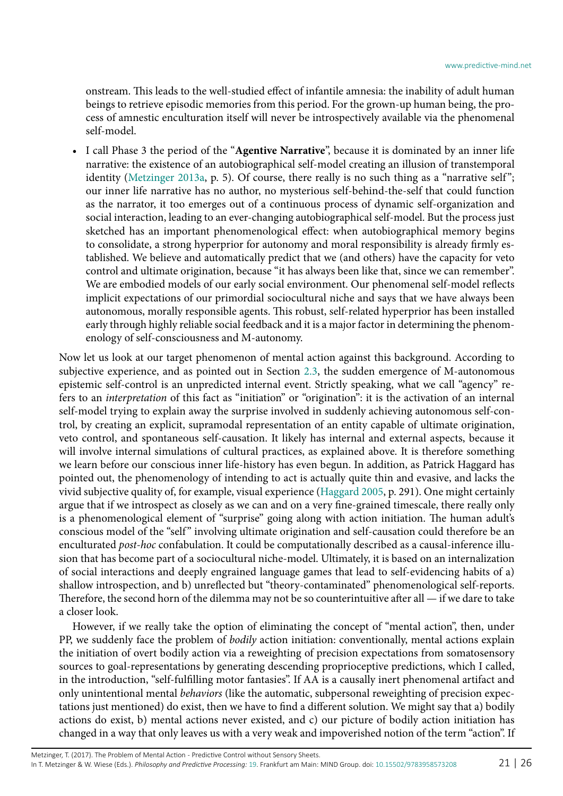onstream. This leads to the well-studied effect of infantile amnesia: the inability of adult human beings to [retrieve](https://en.wikipedia.org/wiki/Memory_retrieval) [episodic memories](https://en.wikipedia.org/wiki/Episodic_memory) from this period. For the grown-up human being, the process of amnestic enculturation itself will never be introspectively available via the phenomenal self-model.

• I call Phase 3 the period of the "**Agentive Narrative**", because it is dominated by an inner life narrative: the existence of an autobiographical self-model creating an illusion of transtemporal identity [\(Metzinger 2013a](#page-24-1), p. 5). Of course, there really is no such thing as a "narrative self"; our inner life narrative has no author, no mysterious self-behind-the-self that could function as the narrator, it too emerges out of a continuous process of dynamic self-organization and social interaction, leading to an ever-changing autobiographical self-model. But the process just sketched has an important phenomenological effect: when autobiographical memory begins to consolidate, a strong hyperprior for autonomy and moral responsibility is already firmly established. We believe and automatically predict that we (and others) have the capacity for veto control and ultimate origination, because "it has always been like that, since we can remember". We are embodied models of our early social environment. Our phenomenal self-model reflects implicit expectations of our primordial sociocultural niche and says that we have always been autonomous, morally responsible agents. This robust, self-related hyperprior has been installed early through highly reliable social feedback and it is a major factor in determining the phenomenology of self-consciousness and M-autonomy.

Now let us look at our target phenomenon of mental action against this background. According to subjective experience, and as pointed out in Section [2.3,](#page-5-0) the sudden emergence of M-autonomous epistemic self-control is an unpredicted internal event. Strictly speaking, what we call "agency" refers to an *interpretation* of this fact as "initiation" or "origination": it is the activation of an internal self-model trying to explain away the surprise involved in suddenly achieving autonomous self-control, by creating an explicit, supramodal representation of an entity capable of ultimate origination, veto control, and spontaneous self-causation. It likely has internal and external aspects, because it will involve internal simulations of cultural practices, as explained above. It is therefore something we learn before our conscious inner life-history has even begun. In addition, as Patrick Haggard has pointed out, the phenomenology of intending to act is actually quite thin and evasive, and lacks the vivid subjective quality of, for example, visual experience ([Haggard 2005](#page-23-27), p. 291). One might certainly argue that if we introspect as closely as we can and on a very fine-grained timescale, there really only is a phenomenological element of "surprise" going along with action initiation. The human adult's conscious model of the "self" involving ultimate origination and self-causation could therefore be an enculturated *post-hoc* confabulation. It could be computationally described as a causal-inference illusion that has become part of a sociocultural niche-model. Ultimately, it is based on an internalization of social interactions and deeply engrained language games that lead to self-evidencing habits of a) shallow introspection, and b) unreflected but "theory-contaminated" phenomenological self-reports. Therefore, the second horn of the dilemma may not be so counterintuitive after all — if we dare to take a closer look.

However, if we really take the option of eliminating the concept of "mental action", then, under PP, we suddenly face the problem of *bodily* action initiation: conventionally, mental actions explain the initiation of overt bodily action via a reweighting of precision expectations from somatosensory sources to goal-representations by generating descending proprioceptive predictions, which I called, in the introduction, "self-fulfilling motor fantasies". If AA is a causally inert phenomenal artifact and only unintentional mental *behaviors* (like the automatic, subpersonal reweighting of precision expectations just mentioned) do exist, then we have to find a different solution. We might say that a) bodily actions do exist, b) mental actions never existed, and c) our picture of bodily action initiation has changed in a way that only leaves us with a very weak and impoverished notion of the term "action". If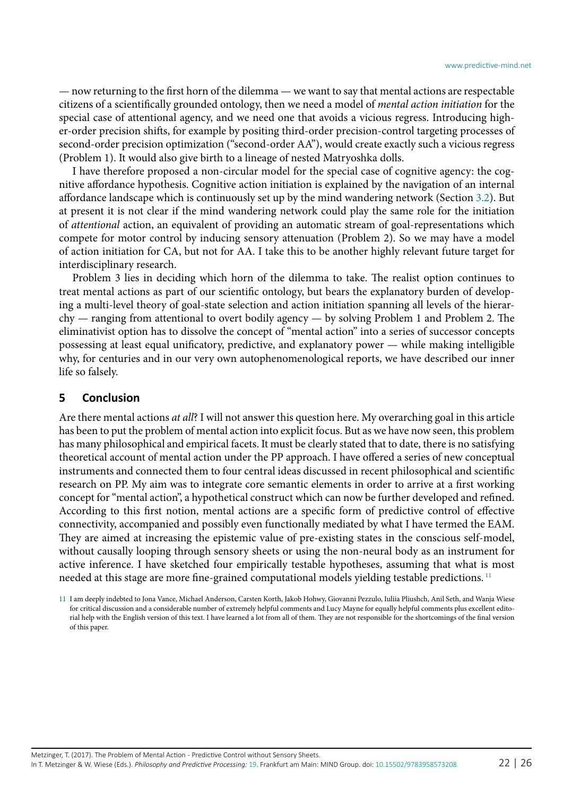— now returning to the first horn of the dilemma — we want to say that mental actions are respectable citizens of a scientifically grounded ontology, then we need a model of *mental action initiation* for the special case of attentional agency, and we need one that avoids a vicious regress. Introducing higher-order precision shifts, for example by positing third-order precision-control targeting processes of second-order precision optimization ("second-order AA"), would create exactly such a vicious regress (Problem 1). It would also give birth to a lineage of nested Matryoshka dolls.

I have therefore proposed a non-circular model for the special case of cognitive agency: the cognitive affordance hypothesis. Cognitive action initiation is explained by the navigation of an internal affordance landscape which is continuously set up by the mind wandering network (Section [3.2\)](#page-10-0). But at present it is not clear if the mind wandering network could play the same role for the initiation of *attentional* action, an equivalent of providing an automatic stream of goal-representations which compete for motor control by inducing sensory attenuation (Problem 2). So we may have a model of action initiation for CA, but not for AA. I take this to be another highly relevant future target for interdisciplinary research.

Problem 3 lies in deciding which horn of the dilemma to take. The realist option continues to treat mental actions as part of our scientific ontology, but bears the explanatory burden of developing a multi-level theory of goal-state selection and action initiation spanning all levels of the hierarchy — ranging from attentional to overt bodily agency — by solving Problem 1 and Problem 2. The eliminativist option has to dissolve the concept of "mental action" into a series of successor concepts possessing at least equal unificatory, predictive, and explanatory power — while making intelligible why, for centuries and in our very own autophenomenological reports, we have described our inner life so falsely.

#### **5 Conclusion**

Are there mental actions *at all*? I will not answer this question here. My overarching goal in this article has been to put the problem of mental action into explicit focus. But as we have now seen, this problem has many philosophical and empirical facets. It must be clearly stated that to date, there is no satisfying theoretical account of mental action under the PP approach. I have offered a series of new conceptual instruments and connected them to four central ideas discussed in recent philosophical and scientific research on PP. My aim was to integrate core semantic elements in order to arrive at a first working concept for "mental action", a hypothetical construct which can now be further developed and refined. According to this first notion, mental actions are a specific form of predictive control of effective connectivity, accompanied and possibly even functionally mediated by what I have termed the EAM. They are aimed at increasing the epistemic value of pre-existing states in the conscious self-model, without causally looping through sensory sheets or using the non-neural body as an instrument for active inference. I have sketched four empirically testable hypotheses, assuming that what is most needed at this stage are more fine-grained computational models yielding testable predictions.<sup>[11](#page-21-0)</sup>

<span id="page-21-0"></span><sup>11</sup> I am deeply indebted to Jona Vance, Michael Anderson, Carsten Korth, Jakob Hohwy, Giovanni Pezzulo, Iuliia Pliushch, Anil Seth, and Wanja Wiese for critical discussion and a considerable number of extremely helpful comments and Lucy Mayne for equally helpful comments plus excellent editorial help with the English version of this text. I have learned a lot from all of them. They are not responsible for the shortcomings of the final version of this paper.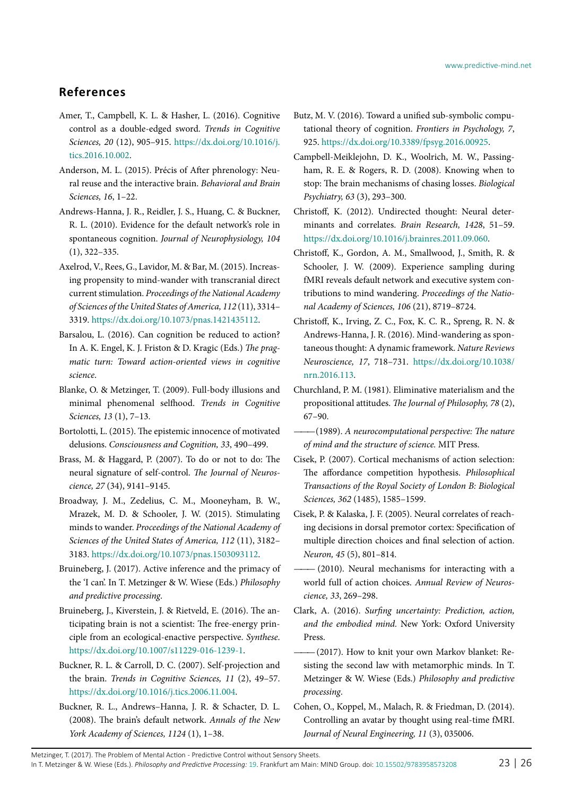### **References**

- <span id="page-22-1"></span>Amer, T., Campbell, K. L. & Hasher, L. (2016). Cognitive control as a double-edged sword. *Trends in Cognitive Sciences, 20* (12), 905–915[. https://dx.doi.org/10.1016/j.](https://dx.doi.org/10.1016/j.tics.2016.10.002) [tics.2016.10.002.](https://dx.doi.org/10.1016/j.tics.2016.10.002)
- <span id="page-22-5"></span>Anderson, M. L. (2015). Précis of After phrenology: Neural reuse and the interactive brain. *Behavioral and Brain Sciences, 16*, 1–22.
- <span id="page-22-17"></span>Andrews-Hanna, J. R., Reidler, J. S., Huang, C. & Buckner, R. L. (2010). Evidence for the default network's role in spontaneous cognition. *Journal of Neurophysiology, 104* (1), 322–335.
- <span id="page-22-21"></span>Axelrod, V., Rees, G., Lavidor, M. & Bar, M. (2015). Increasing propensity to mind-wander with transcranial direct current stimulation. *Proceedings of the National Academy of Sciences of the United States of America, 112* (11), 3314– 3319. [https://dx.doi.org/10.1073/pnas.1421435112.](https://dx.doi.org/10.1073/pnas.1421435112)
- <span id="page-22-6"></span>Barsalou, L. (2016). Can cognition be reduced to action? In A. K. Engel, K. J. Friston & D. Kragic (Eds.) *The pragmatic turn: Toward action-oriented views in cognitive science*.
- <span id="page-22-9"></span>Blanke, O. & Metzinger, T. (2009). Full-body illusions and minimal phenomenal selfhood. *Trends in Cognitive Sciences, 13* (1), 7–13.
- <span id="page-22-0"></span>Bortolotti, L. (2015). The epistemic innocence of motivated delusions. *Consciousness and Cognition, 33*, 490–499.
- <span id="page-22-2"></span>Brass, M. & Haggard, P. (2007). To do or not to do: The neural signature of self-control. *The Journal of Neuroscience, 27* (34), 9141–9145.
- <span id="page-22-22"></span>Broadway, J. M., Zedelius, C. M., Mooneyham, B. W., Mrazek, M. D. & Schooler, J. W. (2015). Stimulating minds to wander. *Proceedings of the National Academy of Sciences of the United States of America, 112* (11), 3182– 3183. [https://dx.doi.org/10.1073/pnas.1503093112.](https://dx.doi.org/10.1073/pnas.1503093112)
- <span id="page-22-20"></span>Bruineberg, J. (2017). Active inference and the primacy of the 'I can'. In T. Metzinger & W. Wiese (Eds.) *Philosophy and predictive processing*.
- <span id="page-22-19"></span>Bruineberg, J., Kiverstein, J. & Rietveld, E. (2016). The anticipating brain is not a scientist: The free-energy principle from an ecological-enactive perspective. *Synthese*. [https://dx.doi.org/10.1007/s11229-016-1239-1.](https://dx.doi.org/10.1007/s11229-016-1239-1)
- <span id="page-22-18"></span>Buckner, R. L. & Carroll, D. C. (2007). Self-projection and the brain. *Trends in Cognitive Sciences, 11* (2), 49–57. [https://dx.doi.org/10.1016/j.tics.2006.11.004.](https://dx.doi.org/10.1016/j.tics.2006.11.004)
- <span id="page-22-14"></span>Buckner, R. L., Andrews–Hanna, J. R. & Schacter, D. L. (2008). The brain's default network. *Annals of the New York Academy of Sciences, 1124* (1), 1–38.
- <span id="page-22-7"></span>Butz, M. V. (2016). Toward a unified sub-symbolic computational theory of cognition. *Frontiers in Psychology, 7*, 925. [https://dx.doi.org/10.3389/fpsyg.2016.00925.](https://dx.doi.org/10.3389/fpsyg.2016.00925)
- <span id="page-22-3"></span>Campbell-Meiklejohn, D. K., Woolrich, M. W., Passingham, R. E. & Rogers, R. D. (2008). Knowing when to stop: The brain mechanisms of chasing losses. *Biological Psychiatry, 63* (3), 293–300.
- <span id="page-22-15"></span>Christoff, K. (2012). Undirected thought: Neural determinants and correlates. *Brain Research, 1428*, 51–59. [https://dx.doi.org/10.1016/j.brainres.2011.09.060.](https://dx.doi.org/10.1016/j.brainres.2011.09.060)
- <span id="page-22-16"></span>Christoff, K., Gordon, A. M., Smallwood, J., Smith, R. & Schooler, J. W. (2009). Experience sampling during fMRI reveals default network and executive system contributions to mind wandering. *Proceedings of the National Academy of Sciences, 106* (21), 8719–8724.
- <span id="page-22-4"></span>Christoff, K., Irving, Z. C., Fox, K. C. R., Spreng, R. N. & Andrews-Hanna, J. R. (2016). Mind-wandering as spontaneous thought: A dynamic framework. *Nature Reviews Neuroscience, 17*, 718–731[. https://dx.doi.org/10.1038/](https://dx.doi.org/10.1038/nrn.2016.113) [nrn.2016.113.](https://dx.doi.org/10.1038/nrn.2016.113)
- <span id="page-22-24"></span>Churchland, P. M. (1981). Eliminative materialism and the propositional attitudes. *The Journal of Philosophy, 78* (2), 67–90.
- <span id="page-22-25"></span> $-$ (1989). A neurocomputational perspective: The nature *of mind and the structure of science.* MIT Press.
- <span id="page-22-10"></span>Cisek, P. (2007). Cortical mechanisms of action selection: The affordance competition hypothesis. *Philosophical Transactions of the Royal Society of London B: Biological Sciences, 362* (1485), 1585–1599.
- <span id="page-22-11"></span>Cisek, P. & Kalaska, J. F. (2005). Neural correlates of reaching decisions in dorsal premotor cortex: Specification of multiple direction choices and final selection of action. *Neuron, 45* (5), 801–814.
- <span id="page-22-12"></span>(2010). Neural mechanisms for interacting with a world full of action choices. *Annual Review of Neuroscience, 33*, 269–298.
- <span id="page-22-13"></span>Clark, A. (2016). *Surfing uncertainty: Prediction, action, and the embodied mind.* New York: Oxford University Press.
- <span id="page-22-23"></span>*———*(2017). How to knit your own Markov blanket: Resisting the second law with metamorphic minds. In T. Metzinger & W. Wiese (Eds.) *Philosophy and predictive processing*.
- <span id="page-22-8"></span>Cohen, O., Koppel, M., Malach, R. & Friedman, D. (2014). Controlling an avatar by thought using real-time fMRI. *Journal of Neural Engineering, 11* (3), 035006.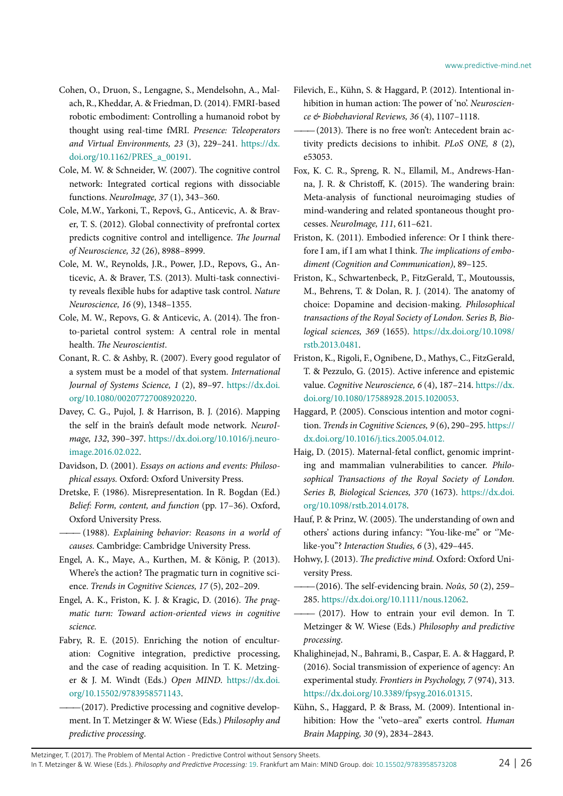- <span id="page-23-14"></span>Cohen, O., Druon, S., Lengagne, S., Mendelsohn, A., Malach, R., Kheddar, A. & Friedman, D. (2014). FMRI-based robotic embodiment: Controlling a humanoid robot by thought using real-time fMRI. *Presence: Teleoperators and Virtual Environments, 23* (3), 229–241[. https://dx.](https://dx.doi.org/10.1162/PRES_a_00191) [doi.org/10.1162/PRES\\_a\\_00191.](https://dx.doi.org/10.1162/PRES_a_00191)
- <span id="page-23-11"></span>Cole, M. W. & Schneider, W. (2007). The cognitive control network: Integrated cortical regions with dissociable functions. *NeuroImage, 37* (1), 343–360.
- <span id="page-23-13"></span>Cole, M.W., Yarkoni, T., Repovš, G., Anticevic, A. & Braver, T. S. (2012). Global connectivity of prefrontal cortex predicts cognitive control and intelligence. *The Journal of Neuroscience, 32* (26), 8988–8999.
- <span id="page-23-12"></span>Cole, M. W., Reynolds, J.R., Power, J.D., Repovs, G., Anticevic, A. & Braver, T.S. (2013). Multi-task connectivity reveals flexible hubs for adaptive task control. *Nature Neuroscience, 16* (9), 1348–1355.
- <span id="page-23-8"></span>Cole, M. W., Repovs, G. & Anticevic, A. (2014). The fronto-parietal control system: A central role in mental health. *The Neuroscientist*.
- <span id="page-23-20"></span>Conant, R. C. & Ashby, R. (2007). Every good regulator of a system must be a model of that system. *International Journal of Systems Science, 1* (2), 89–97[. https://dx.doi.](https://dx.doi.org/10.1080/00207727008920220) [org/10.1080/00207727008920220.](https://dx.doi.org/10.1080/00207727008920220)
- <span id="page-23-17"></span>Davey, C. G., Pujol, J. & Harrison, B. J. (2016). Mapping the self in the brain's default mode network. *NeuroImage, 132*, 390–397[. https://dx.doi.org/10.1016/j.neuro](https://dx.doi.org/10.1016/j.neuroimage.2016.02.022)[image.2016.02.022.](https://dx.doi.org/10.1016/j.neuroimage.2016.02.022)
- <span id="page-23-3"></span>Davidson, D. (2001). *Essays on actions and events: Philosophical essays.* Oxford: Oxford University Press.
- <span id="page-23-18"></span>Dretske, F. (1986). Misrepresentation. In R. Bogdan (Ed.) *Belief: Form, content, and function* (pp. 17–36). Oxford, Oxford University Press.
- <span id="page-23-4"></span>*———* (1988). *Explaining behavior: Reasons in a world of causes.* Cambridge: Cambridge University Press.
- <span id="page-23-5"></span>Engel, A. K., Maye, A., Kurthen, M. & König, P. (2013). Where's the action? The pragmatic turn in cognitive science. *Trends in Cognitive Sciences, 17* (5), 202–209.
- <span id="page-23-6"></span>Engel, A. K., Friston, K. J. & Kragic, D. (2016). *The pragmatic turn: Toward action-oriented views in cognitive science.*
- <span id="page-23-1"></span>Fabry, R. E. (2015). Enriching the notion of enculturation: Cognitive integration, predictive processing, and the case of reading acquisition. In T. K. Metzinger & J. M. Windt (Eds.) *Open MIND*[. https://dx.doi.](https://dx.doi.org/10.15502/9783958571143) [org/10.15502/9783958571143.](https://dx.doi.org/10.15502/9783958571143)
- <span id="page-23-2"></span> $-$ (2017). Predictive processing and cognitive development. In T. Metzinger & W. Wiese (Eds.) *Philosophy and predictive processing*.
- <span id="page-23-7"></span>Filevich, E., Kühn, S. & Haggard, P. (2012). Intentional inhibition in human action: The power of 'no'. *Neuroscience & Biobehavioral Reviews, 36* (4), 1107–1118.
- <span id="page-23-9"></span>*———*(2013). There is no free won't: Antecedent brain activity predicts decisions to inhibit. *PLoS ONE, 8* (2), e53053.
- <span id="page-23-16"></span>Fox, K. C. R., Spreng, R. N., Ellamil, M., Andrews-Hanna, J. R. & Christoff, K. (2015). The wandering brain: Meta-analysis of functional neuroimaging studies of mind-wandering and related spontaneous thought processes. *NeuroImage, 111*, 611–621.
- <span id="page-23-23"></span>Friston, K. (2011). Embodied inference: Or I think therefore I am, if I am what I think. *The implications of embodiment (Cognition and Communication)*, 89–125.
- <span id="page-23-0"></span>Friston, K., Schwartenbeck, P., FitzGerald, T., Moutoussis, M., Behrens, T. & Dolan, R. J. (2014). The anatomy of choice: Dopamine and decision-making. *Philosophical transactions of the Royal Society of London. Series B, Biological sciences, 369* (1655)[. https://dx.doi.org/10.1098/](https://dx.doi.org/10.1098/rstb.2013.0481) [rstb.2013.0481.](https://dx.doi.org/10.1098/rstb.2013.0481)
- <span id="page-23-19"></span>Friston, K., Rigoli, F., Ognibene, D., Mathys, C., FitzGerald, T. & Pezzulo, G. (2015). Active inference and epistemic value. *Cognitive Neuroscience, 6* (4), 187–214. [https://dx.](https://dx.doi.org/10.1080/17588928.2015.1020053) [doi.org/10.1080/17588928.2015.1020053.](https://dx.doi.org/10.1080/17588928.2015.1020053)
- <span id="page-23-27"></span>Haggard, P. (2005). Conscious intention and motor cognition. *Trends in Cognitive Sciences, 9* (6), 290–295[. https://](https://dx.doi.org/10.1016/j.tics.2005.04.012) [dx.doi.org/10.1016/j.tics.2005.04.012.](https://dx.doi.org/10.1016/j.tics.2005.04.012)
- <span id="page-23-24"></span>Haig, D. (2015). Maternal-fetal conflict, genomic imprinting and mammalian vulnerabilities to cancer. *Philosophical Transactions of the Royal Society of London. Series B, Biological Sciences, 370* (1673)[. https://dx.doi.](https://dx.doi.org/10.1098/rstb.2014.0178) [org/10.1098/rstb.2014.0178.](https://dx.doi.org/10.1098/rstb.2014.0178)
- <span id="page-23-26"></span>Hauf, P. & Prinz, W. (2005). The understanding of own and others' actions during infancy: "You-like-me'' or ''Melike-you''? *Interaction Studies, 6* (3), 429–445.
- <span id="page-23-15"></span>Hohwy, J. (2013). *The predictive mind.* Oxford: Oxford University Press.
- <span id="page-23-21"></span>*———*(2016). The self-evidencing brain. *Noûs, 50* (2), 259– 285. [https://dx.doi.org/10.1111/nous.12062.](https://dx.doi.org/10.1111/nous.12062)
- <span id="page-23-22"></span>*———* (2017). How to entrain your evil demon. In T. Metzinger & W. Wiese (Eds.) *Philosophy and predictive processing*.
- <span id="page-23-25"></span>Khalighinejad, N., Bahrami, B., Caspar, E. A. & Haggard, P. (2016). Social transmission of experience of agency: An experimental study. *Frontiers in Psychology, 7* (974), 313. [https://dx.doi.org/10.3389/fpsyg.2016.01315.](https://dx.doi.org/10.3389/fpsyg.2016.01315)
- <span id="page-23-10"></span>Kühn, S., Haggard, P. & Brass, M. (2009). Intentional inhibition: How the ''veto–area'' exerts control. *Human Brain Mapping, 30* (9), 2834–2843.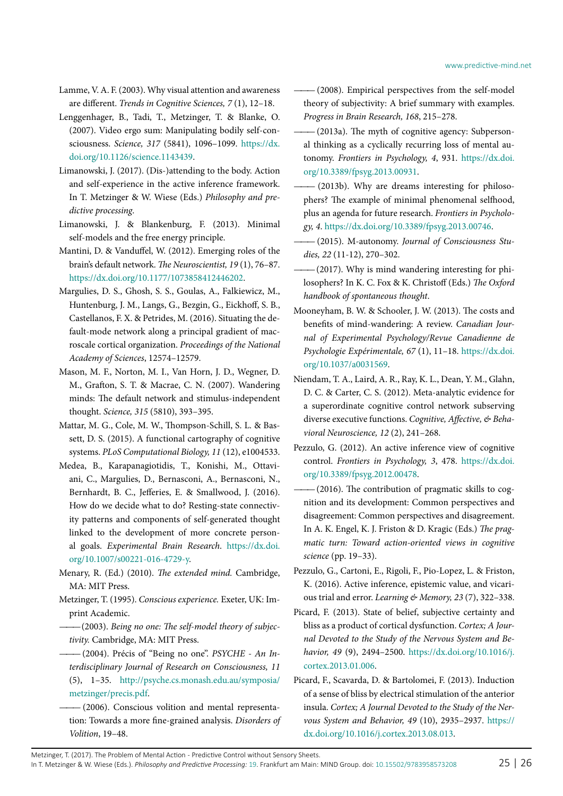- <span id="page-24-22"></span>Lamme, V. A. F. (2003). Why visual attention and awareness are different. *Trends in Cognitive Sciences, 7* (1), 12–18.
- <span id="page-24-14"></span>Lenggenhager, B., Tadi, T., Metzinger, T. & Blanke, O. (2007). Video ergo sum: Manipulating bodily self-consciousness. *Science, 317* (5841), 1096–1099[. https://dx.](https://dx.doi.org/10.1126/science.1143439) [doi.org/10.1126/science.1143439.](https://dx.doi.org/10.1126/science.1143439)
- <span id="page-24-25"></span>Limanowski, J. (2017). (Dis-)attending to the body. Action and self-experience in the active inference framework. In T. Metzinger & W. Wiese (Eds.) *Philosophy and predictive processing*.
- <span id="page-24-24"></span>Limanowski, J. & Blankenburg, F. (2013). Minimal self-models and the free energy principle.
- <span id="page-24-18"></span>Mantini, D. & Vanduffel, W. (2012). Emerging roles of the brain's default network. *The Neuroscientist, 19* (1), 76–87. [https://dx.doi.org/10.1177/1073858412446202.](https://dx.doi.org/10.1177/1073858412446202)
- <span id="page-24-20"></span>Margulies, D. S., Ghosh, S. S., Goulas, A., Falkiewicz, M., Huntenburg, J. M., Langs, G., Bezgin, G., Eickhoff, S. B., Castellanos, F. X. & Petrides, M. (2016). Situating the default-mode network along a principal gradient of macroscale cortical organization. *Proceedings of the National Academy of Sciences*, 12574–12579.
- <span id="page-24-19"></span>Mason, M. F., Norton, M. I., Van Horn, J. D., Wegner, D. M., Grafton, S. T. & Macrae, C. N. (2007). Wandering minds: The default network and stimulus-independent thought. *Science, 315* (5810), 393–395.
- <span id="page-24-6"></span>Mattar, M. G., Cole, M. W., Thompson-Schill, S. L. & Bassett, D. S. (2015). A functional cartography of cognitive systems. *PLoS Computational Biology, 11* (12), e1004533.
- <span id="page-24-5"></span>Medea, B., Karapanagiotidis, T., Konishi, M., Ottaviani, C., Margulies, D., Bernasconi, A., Bernasconi, N., Bernhardt, B. C., Jefferies, E. & Smallwood, J. (2016). How do we decide what to do? Resting-state connectivity patterns and components of self-generated thought linked to the development of more concrete personal goals. *Experimental Brain Research*. [https://dx.doi.](https://dx.doi.org/10.1007/s00221-016-4729-y) [org/10.1007/s00221-016-4729-y.](https://dx.doi.org/10.1007/s00221-016-4729-y)
- <span id="page-24-23"></span>Menary, R. (Ed.) (2010). *The extended mind.* Cambridge, MA: MIT Press.
- <span id="page-24-12"></span><span id="page-24-9"></span>Metzinger, T. (1995). *Conscious experience.* Exeter, UK: Imprint Academic.
	- $-(2003)$ . Being no one: The self-model theory of subjec*tivity.* Cambridge, MA: MIT Press.
- <span id="page-24-21"></span> $-(2004)$ . Précis of "Being no one". *PSYCHE - An Interdisciplinary Journal of Research on Consciousness, 11* (5), 1–35. [http://psyche.cs.monash.edu.au/symposia/](http://psyche.cs.monash.edu.au/symposia/metzinger/precis.pdf) [metzinger/precis.pdf.](http://psyche.cs.monash.edu.au/symposia/metzinger/precis.pdf)
- <span id="page-24-17"></span> $-$  (2006). Conscious volition and mental representation: Towards a more fine-grained analysis. *Disorders of Volition*, 19–48.
- <span id="page-24-13"></span>*———* (2008). Empirical perspectives from the self-model theory of subjectivity: A brief summary with examples. *Progress in Brain Research, 168*, 215–278.
- <span id="page-24-1"></span> $-(2013a)$ . The myth of cognitive agency: Subpersonal thinking as a cyclically recurring loss of mental autonomy. *Frontiers in Psychology, 4*, 931[. https://dx.doi.](https://dx.doi.org/10.3389/fpsyg.2013.00931) [org/10.3389/fpsyg.2013.00931.](https://dx.doi.org/10.3389/fpsyg.2013.00931)
- <span id="page-24-10"></span> $-$  (2013b). Why are dreams interesting for philosophers? The example of minimal phenomenal selfhood, plus an agenda for future research. *Frontiers in Psychology, 4*[. https://dx.doi.org/10.3389/fpsyg.2013.00746.](https://dx.doi.org/10.3389/fpsyg.2013.00746)
- <span id="page-24-2"></span> $-$  (2015). M-autonomy. Journal of Consciousness Stu*dies, 22* (11-12), 270–302.
- <span id="page-24-3"></span> $-(2017)$ . Why is mind wandering interesting for philosophers? In K. C. Fox & K. Christoff (Eds.) *The Oxford handbook of spontaneous thought*.
- <span id="page-24-4"></span>Mooneyham, B. W. & Schooler, J. W. (2013). The costs and benefits of mind-wandering: A review. *Canadian Journal of Experimental Psychology/Revue Canadienne de Psychologie Expérimentale, 67* (1), 11–18[. https://dx.doi.](https://dx.doi.org/10.1037/a0031569) [org/10.1037/a0031569.](https://dx.doi.org/10.1037/a0031569)
- <span id="page-24-7"></span>Niendam, T. A., Laird, A. R., Ray, K. L., Dean, Y. M., Glahn, D. C. & Carter, C. S. (2012). Meta-analytic evidence for a superordinate cognitive control network subserving diverse executive functions. *Cognitive, Affective, & Behavioral Neuroscience, 12* (2), 241–268.
- <span id="page-24-0"></span>Pezzulo, G. (2012). An active inference view of cognitive control. *Frontiers in Psychology, 3*, 478. [https://dx.doi.](https://dx.doi.org/10.3389/fpsyg.2012.00478) [org/10.3389/fpsyg.2012.00478.](https://dx.doi.org/10.3389/fpsyg.2012.00478)
- <span id="page-24-11"></span> $-(2016)$ . The contribution of pragmatic skills to cognition and its development: Common perspectives and disagreement: Common perspectives and disagreement. In A. K. Engel, K. J. Friston & D. Kragic (Eds.) *The pragmatic turn: Toward action-oriented views in cognitive science* (pp. 19–33).
- <span id="page-24-8"></span>Pezzulo, G., Cartoni, E., Rigoli, F., Pio-Lopez, L. & Friston, K. (2016). Active inference, epistemic value, and vicarious trial and error. *Learning & Memory, 23* (7), 322–338.
- <span id="page-24-15"></span>Picard, F. (2013). State of belief, subjective certainty and bliss as a product of cortical dysfunction. *Cortex; A Journal Devoted to the Study of the Nervous System and Behavior, 49* (9), 2494–2500. [https://dx.doi.org/10.1016/j.](https://dx.doi.org/10.1016/j.cortex.2013.01.006) [cortex.2013.01.006.](https://dx.doi.org/10.1016/j.cortex.2013.01.006)
- <span id="page-24-16"></span>Picard, F., Scavarda, D. & Bartolomei, F. (2013). Induction of a sense of bliss by electrical stimulation of the anterior insula. *Cortex; A Journal Devoted to the Study of the Nervous System and Behavior, 49* (10), 2935–2937[. https://](https://dx.doi.org/10.1016/j.cortex.2013.08.013) [dx.doi.org/10.1016/j.cortex.2013.08.013.](https://dx.doi.org/10.1016/j.cortex.2013.08.013)

Metzinger, T. (2017). The Problem of Mental Action - Predictive Control without Sensory Sheets. In T. Metzinger & W. Wiese (Eds.). *Philosophy and Predictive Processing:* [19](http://predictive-mind.net/papers/@@chapters?nr=19). Frankfurt am Main: MIND Group. doi: [10.15502/9783958573208](http://dx.doi.org/10.15502/9783958573208) 25 | 26